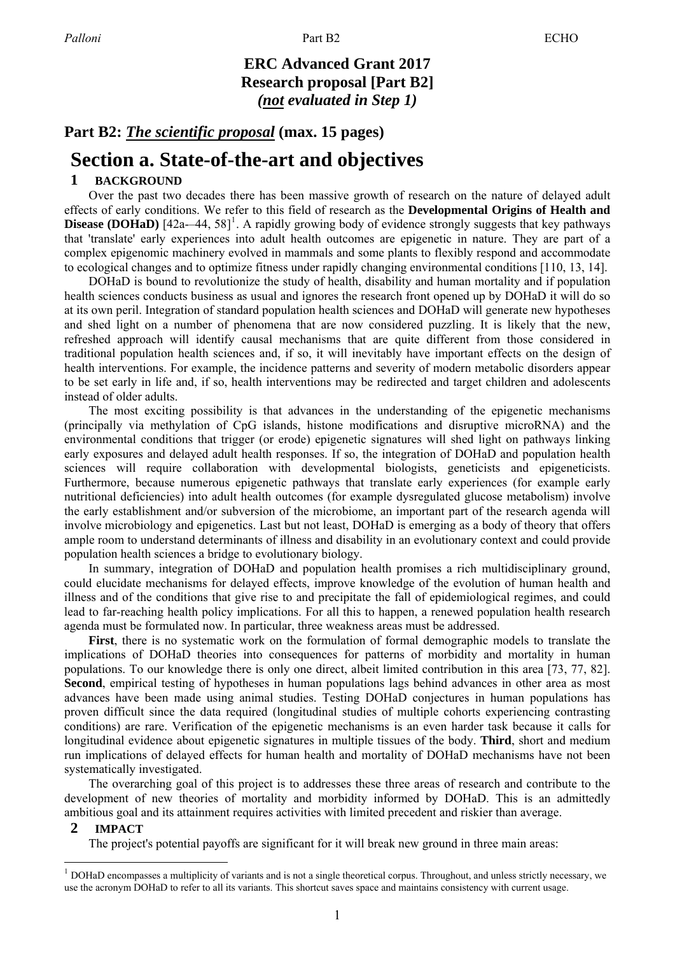## **ERC Advanced Grant 2017 Research proposal [Part B2]** *(not evaluated in Step 1)*

## **Part B2:** *The scientific proposal* **(max. 15 pages)**

# **Section a. State-of-the-art and objectives**

## **1 BACKGROUND**

Over the past two decades there has been massive growth of research on the nature of delayed adult effects of early conditions. We refer to this field of research as the **Developmental Origins of Health and Disease (DOHaD)** [42a--44, [58\]](#page-16-0)<sup>[1](#page-0-0)</sup>. A rapidly growing body of evidence strongly suggests that key pathways that 'translate' early experiences into adult health outcomes are epigenetic in nature. They are part of a complex epigenomic machinery evolved in mammals and some plants to flexibly respond and accommodate to ecological changes and to optimize fitness under rapidly changing environmental conditions [\[110, 13,](#page-14-0) [14\].](#page-14-0) 

DOHaD is bound to revolutionize the study of health, disability and human mortality and if population health sciences conducts business as usual and ignores the research front opened up by DOHaD it will do so at its own peril. Integration of standard population health sciences and DOHaD will generate new hypotheses and shed light on a number of phenomena that are now considered puzzling. It is likely that the new, refreshed approach will identify causal mechanisms that are quite different from those considered in traditional population health sciences and, if so, it will inevitably have important effects on the design of health interventions. For example, the incidence patterns and severity of modern metabolic disorders appear to be set early in life and, if so, health interventions may be redirected and target children and adolescents instead of older adults.

The most exciting possibility is that advances in the understanding of the epigenetic mechanisms (principally via methylation of CpG islands, histone modifications and disruptive microRNA) and the environmental conditions that trigger (or erode) epigenetic signatures will shed light on pathways linking early exposures and delayed adult health responses. If so, the integration of DOHaD and population health sciences will require collaboration with developmental biologists, geneticists and epigeneticists. Furthermore, because numerous epigenetic pathways that translate early experiences (for example early nutritional deficiencies) into adult health outcomes (for example dysregulated glucose metabolism) involve the early establishment and/or subversion of the microbiome, an important part of the research agenda will involve microbiology and epigenetics. Last but not least, DOHaD is emerging as a body of theory that offers ample room to understand determinants of illness and disability in an evolutionary context and could provide population health sciences a bridge to evolutionary biology.

In summary, integration of DOHaD and population health promises a rich multidisciplinary ground, could elucidate mechanisms for delayed effects, improve knowledge of the evolution of human health and illness and of the conditions that give rise to and precipitate the fall of epidemiological regimes, and could lead to far-reaching health policy implications. For all this to happen, a renewed population health research agenda must be formulated now. In particular, three weakness areas must be addressed.

**First**, there is no systematic work on the formulation of formal demographic models to translate the implications of DOHaD theories into consequences for patterns of morbidity and mortality in human populations. To our knowledge there is only one direct, albeit limited contribution in this area [\[73,](#page-17-0) 77, [82\].](#page-17-0) **Second**, empirical testing of hypotheses in human populations lags behind advances in other area as most advances have been made using animal studies. Testing DOHaD conjectures in human populations has proven difficult since the data required (longitudinal studies of multiple cohorts experiencing contrasting conditions) are rare. Verification of the epigenetic mechanisms is an even harder task because it calls for longitudinal evidence about epigenetic signatures in multiple tissues of the body. **Third**, short and medium run implications of delayed effects for human health and mortality of DOHaD mechanisms have not been systematically investigated.

The overarching goal of this project is to addresses these three areas of research and contribute to the development of new theories of mortality and morbidity informed by DOHaD. This is an admittedly ambitious goal and its attainment requires activities with limited precedent and riskier than average.

#### **2 IMPACT**

 $\overline{a}$ 

The project's potential payoffs are significant for it will break new ground in three main areas:

<span id="page-0-0"></span><sup>1</sup> DOHaD encompasses a multiplicity of variants and is not a single theoretical corpus. Throughout, and unless strictly necessary, we use the acronym DOHaD to refer to all its variants. This shortcut saves space and maintains consistency with current usage.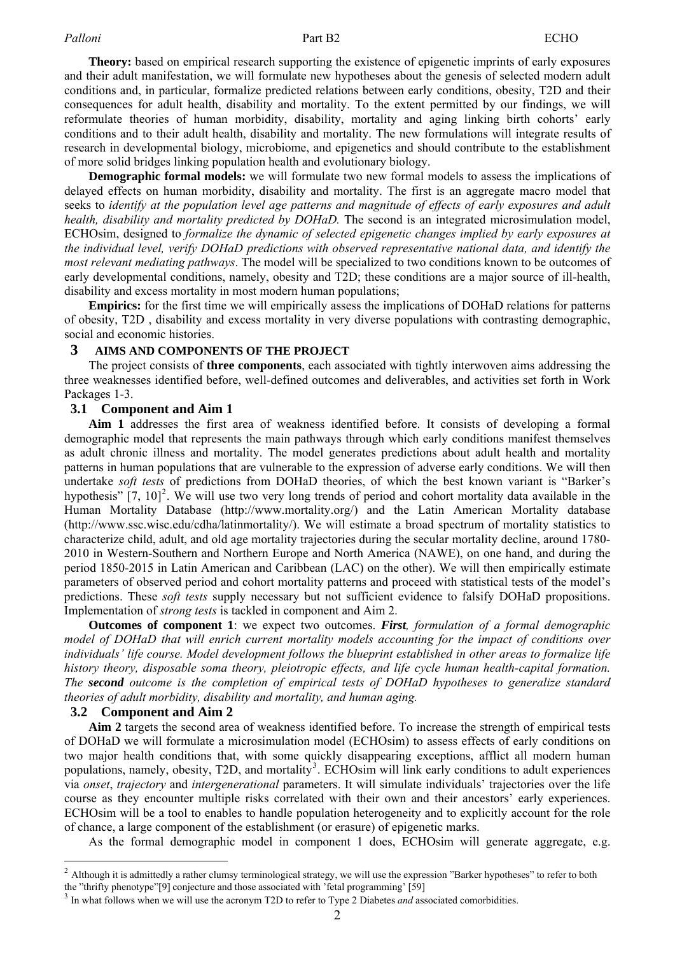**Theory:** based on empirical research supporting the existence of epigenetic imprints of early exposures and their adult manifestation, we will formulate new hypotheses about the genesis of selected modern adult conditions and, in particular, formalize predicted relations between early conditions, obesity, T2D and their consequences for adult health, disability and mortality. To the extent permitted by our findings, we will reformulate theories of human morbidity, disability, mortality and aging linking birth cohorts' early conditions and to their adult health, disability and mortality. The new formulations will integrate results of research in developmental biology, microbiome, and epigenetics and should contribute to the establishment of more solid bridges linking population health and evolutionary biology.

**Demographic formal models:** we will formulate two new formal models to assess the implications of delayed effects on human morbidity, disability and mortality. The first is an aggregate macro model that seeks to *identify at the population level age patterns and magnitude of effects of early exposures and adult health, disability and mortality predicted by DOHaD.* The second is an integrated microsimulation model, ECHOsim, designed to *formalize the dynamic of selected epigenetic changes implied by early exposures at the individual level, verify DOHaD predictions with observed representative national data, and identify the most relevant mediating pathways*. The model will be specialized to two conditions known to be outcomes of early developmental conditions, namely, obesity and T2D; these conditions are a major source of ill-health, disability and excess mortality in most modern human populations;

**Empirics:** for the first time we will empirically assess the implications of DOHaD relations for patterns of obesity, T2D , disability and excess mortality in very diverse populations with contrasting demographic, social and economic histories.

#### **3 AIMS AND COMPONENTS OF THE PROJECT**

The project consists of **three components**, each associated with tightly interwoven aims addressing the three weaknesses identified before, well-defined outcomes and deliverables, and activities set forth in Work Packages 1-3.

#### **3.1 Component and Aim 1**

**Aim 1** addresses the first area of weakness identified before. It consists of developing a formal demographic model that represents the main pathways through which early conditions manifest themselves as adult chronic illness and mortality. The model generates predictions about adult health and mortality patterns in human populations that are vulnerable to the expression of adverse early conditions. We will then undertake *soft tests* of predictions from DOHaD theories, of which the best known variant is "Barker's hypothesis"  $[7, 10]^2$  $[7, 10]^2$  $[7, 10]^2$  $[7, 10]^2$  $[7, 10]^2$ . We will use two very long trends of period and cohort mortality data available in the Human Mortality Database [\(http://www.mortality.org/\)](http://www.mortality.org/)) and the Latin American Mortality database [\(http://www.ssc.wisc.edu/cdha/latinmortality/\).](http://www.ssc.wisc.edu/cdha/latinmortality/)) We will estimate a broad spectrum of mortality statistics to characterize child, adult, and old age mortality trajectories during the secular mortality decline, around 1780- 2010 in Western-Southern and Northern Europe and North America (NAWE), on one hand, and during the period 1850-2015 in Latin American and Caribbean (LAC) on the other). We will then empirically estimate parameters of observed period and cohort mortality patterns and proceed with statistical tests of the model's predictions. These *soft tests* supply necessary but not sufficient evidence to falsify DOHaD propositions. Implementation of *strong tests* is tackled in component and Aim 2.

**Outcomes of component 1**: we expect two outcomes. *First, formulation of a formal demographic model of DOHaD that will enrich current mortality models accounting for the impact of conditions over individuals' life course. Model development follows the blueprint established in other areas to formalize life history theory, disposable soma theory, pleiotropic effects, and life cycle human health-capital formation. The second outcome is the completion of empirical tests of DOHaD hypotheses to generalize standard theories of adult morbidity, disability and mortality, and human aging.*

#### **3.2 Component and Aim 2**

 $\overline{a}$ 

**Aim 2** targets the second area of weakness identified before. To increase the strength of empirical tests of DOHaD we will formulate a microsimulation model (ECHOsim) to assess effects of early conditions on two major health conditions that, with some quickly disappearing exceptions, afflict all modern human populations, namely, obesity, T2D, and mortality<sup>[3](#page-1-1)</sup>. ECHOsim will link early conditions to adult experiences via *onset*, *trajectory* and *intergenerational* parameters. It will simulate individuals' trajectories over the life course as they encounter multiple risks correlated with their own and their ancestors' early experiences. ECHOsim will be a tool to enables to handle population heterogeneity and to explicitly account for the role of chance, a large component of the establishment (or erasure) of epigenetic marks.

As the formal demographic model in component 1 does, ECHOsim will generate aggregate, e.g.

<span id="page-1-0"></span><sup>&</sup>lt;sup>2</sup> Although it is admittedly a rather clumsy terminological strategy, we will use the expr[es](#page-16-0)sion "Barker hypotheses" to refer to both the "thrifty [phenotype"\[9\]](#page-14-0) conjecture and those associated with 'fetal programming' [\[59\]](#page-16-0)

<span id="page-1-1"></span><sup>3</sup> In what follows when we will use the acronym T2D to refer to Type 2 Diabetes *and* associated comorbidities.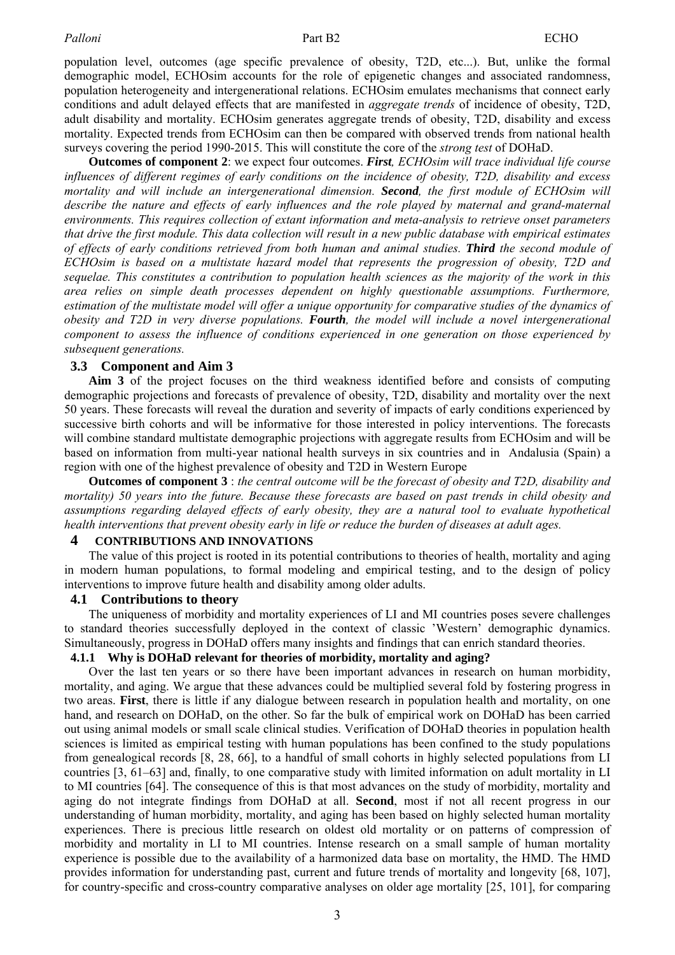population level, outcomes (age specific prevalence of obesity, T2D, etc...). But, unlike the formal demographic model, ECHOsim accounts for the role of epigenetic changes and associated randomness, population heterogeneity and intergenerational relations. ECHOsim emulates mechanisms that connect early conditions and adult delayed effects that are manifested in *aggregate trends* of incidence of obesity, T2D, adult disability and mortality. ECHOsim generates aggregate trends of obesity, T2D, disability and excess mortality. Expected trends from ECHOsim can then be compared with observed trends from national health surveys covering the period 1990-2015. This will constitute the core of the *strong test* of DOHaD.

**Outcomes of component 2**: we expect four outcomes. *First, ECHOsim will trace individual life course influences of different regimes of early conditions on the incidence of obesity, T2D, disability and excess mortality and will include an intergenerational dimension. Second, the first module of ECHOsim will*  describe the nature and effects of early influences and the role played by maternal and grand-maternal *environments. This requires collection of extant information and meta-analysis to retrieve onset parameters that drive the first module. This data collection will result in a new public database with empirical estimates of effects of early conditions retrieved from both human and animal studies. Third the second module of ECHOsim is based on a multistate hazard model that represents the progression of obesity, T2D and sequelae. This constitutes a contribution to population health sciences as the majority of the work in this area relies on simple death processes dependent on highly questionable assumptions. Furthermore,*  estimation of the multistate model will offer a unique opportunity for comparative studies of the dynamics of *obesity and T2D in very diverse populations. Fourth, the model will include a novel intergenerational component to assess the influence of conditions experienced in one generation on those experienced by subsequent generations.* 

### **3.3 Component and Aim 3**

**Aim 3** of the project focuses on the third weakness identified before and consists of computing demographic projections and forecasts of prevalence of obesity, T2D, disability and mortality over the next 50 years. These forecasts will reveal the duration and severity of impacts of early conditions experienced by successive birth cohorts and will be informative for those interested in policy interventions. The forecasts will combine standard multistate demographic projections with aggregate results from ECHOsim and will be based on information from multi-year national health surveys in six countries and in Andalusia (Spain) a region with one of the highest prevalence of obesity and T2D in Western Europe

**Outcomes of component 3** : *the central outcome will be the forecast of obesity and T2D, disability and mortality) 50 years into the future. Because these forecasts are based on past trends in child obesity and assumptions regarding delayed effects of early obesity, they are a natural tool to evaluate hypothetical health interventions that prevent obesity early in life or reduce the burden of diseases at adult ages.*

## **4 CONTRIBUTIONS AND INNOVATIONS**

The value of this project is rooted in its potential contributions to theories of health, mortality and aging in modern human populations, to formal modeling and empirical testing, and to the design of policy interventions to improve future health and disability among older adults.

#### **4.1 Contributions to theory**

The uniqueness of morbidity and mortality experiences of LI and MI countries poses severe challenges to standard theories successfully deployed in the context of classic 'Western' demographic dynamics. Simultaneously, progress in DOHaD offers many insights and findings that can enrich standard theories.

#### **4.1.1 Why is DOHaD relevant for theories of morbidity, mortality and aging?**

Over the last ten years or so there have been important advances in research on human morbidity, mortality, and aging. We argue that these advances could be multiplied several fold by fostering progress in two areas. **First**, there is little if any dialogue between research in population health and mortality, on one hand, and research on DOHaD, on the other. So far the bulk of empirical work on DOHaD has been carried out using animal models or small scale clinical studies. Verification of DOHaD theories in population health sciences is limited as empirical testing with human populations has been confined to the study populations from genealogical records [\[8,](#page-14-0) [28,](#page-15-0) [66\],](#page-16-0) to a handful of small cohorts in highly selected populations from LI countries [\[3,](#page-14-0) [61–63\]](#page-16-0) and, finally, to one comparative study with limited information on adult mortality in LI to MI countries [\[64\].](#page-16-0) The consequence of this is that most advances on the study of morbidity, mortality and aging do not integrate findings from DOHaD at all. **Second**, most if not all recent progress in our understanding of human morbidity, mortality, and aging has been based on highly selected human mortality experiences. There is precious little research on oldest old mortality or on patterns of compression of morbidity and mortality in LI to MI countries. Intense research on a small sample of human mortality experience is possible due to the availability of a harmonized data base on mortality, the HMD. The HMD provides information for understanding past, current and future trends of mortality and longevity [\[68,](#page-17-0) [107\],](#page-18-0) for country-specific and cross-country comparative analyses on older age mortality [\[25,](#page-15-0) [101\],](#page-18-0) for comparing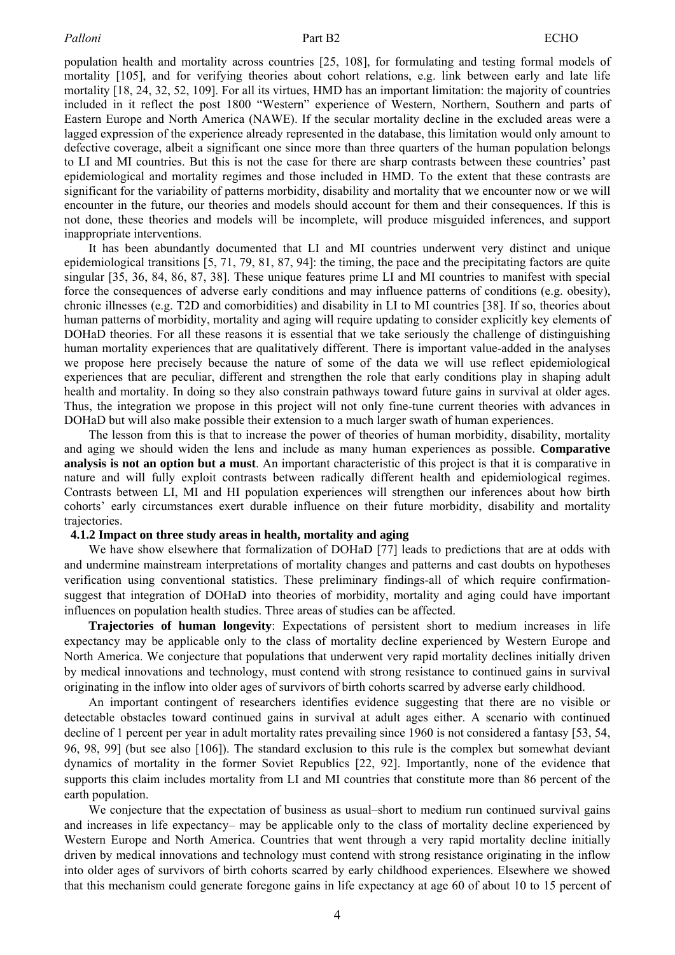population health and mortality across countries [\[25,](#page-15-0) [108\],](#page-18-0) for formulating and testing formal models of mortality [\[105\],](#page-18-0) and for verifying theories about cohort relations, e.g. link between early and late life mortality [\[18,](#page-14-0) [24,](#page-15-0) [32,](#page-15-0) [52,](#page-16-0) [109\].](#page-18-0) For all its virtues, HMD has an important limitation: the majority of countries included in it reflect the post 1800 "Western" experience of Western, Northern, Southern and parts of Eastern Europe and North America (NAWE). If the secular mortality decline in the excluded areas were a lagged expression of the experience already represented in the database, this limitation would only amount to defective coverage, albeit a significant one since more than three quarters of the human population belongs to LI and MI countries. But this is not the case for there are sharp contrasts between these countries' past epidemiological and mortality regimes and those included in HMD. To the extent that these contrasts are significant for the variability of patterns morbidity, disability and mortality that we encounter now or we will encounter in the future, our theories and models should account for them and their consequences. If this is not done, these theories and models will be incomplete, will produce misguided inferences, and support inappropriate interventions.

It has been abundantly documented that LI and MI countries underwent very distinct and unique epidemiological transitions [5, 71, 79, 81, 87, 94]: the timing, the pace and the precipitating factors are quite singular [\[35,](#page-15-0) [36,](#page-15-0) [84,](#page-17-0) [86,](#page-17-0) [87, 38\].](#page-17-0) These unique features prime LI and MI countries to manifest with special force the consequences of adverse early conditions and may influence patterns of conditions (e.g. obesity), chronic illnesses (e.g. T2D and comorbidities) and disability in LI to MI countries [\[38\].](#page-15-0) If so, theories about human patterns of morbidity, mortality and aging will require updating to consider explicitly key elements of DOHaD theories. For all these reasons it is essential that we take seriously the challenge of distinguishing human mortality experiences that are qualitatively different. There is important value-added in the analyses we propose here precisely because the nature of some of the data we will use reflect epidemiological experiences that are peculiar, different and strengthen the role that early conditions play in shaping adult health and mortality. In doing so they also constrain pathways toward future gains in survival at older ages. Thus, the integration we propose in this project will not only fine-tune current theories with advances in DOHaD but will also make possible their extension to a much larger swath of human experiences.

The lesson from this is that to increase the power of theories of human morbidity, disability, mortality and aging we should widen the lens and include as many human experiences as possible. **Comparative analysis is not an option but a must**. An important characteristic of this project is that it is comparative in nature and will fully exploit contrasts between radically different health and epidemiological regimes. Contrasts between LI, MI and HI population experiences will strengthen our inferences about how birth cohorts' early circumstances exert durable influence on their future morbidity, disability and mortality trajectories.

#### **4.1.2 Impact on three study areas in health, mortality and aging**

We have show elsewhere that formalization of DOHaD [\[77\]](#page-17-0) leads to predictions that are at odds with and undermine mainstream interpretations of mortality changes and patterns and cast doubts on hypotheses verification using conventional statistics. These preliminary findings-all of which require confirmationsuggest that integration of DOHaD into theories of morbidity, mortality and aging could have important influences on population health studies. Three areas of studies can be affected.

**Trajectories of human longevity**: Expectations of persistent short to medium increases in life expectancy may be applicable only to the class of mortality decline experienced by Western Europe and North America. We conjecture that populations that underwent very rapid mortality declines initially driven by medical innovations and technology, must contend with strong resistance to continued gains in survival originating in the inflow into older ages of survivors of birth cohorts scarred by adverse early childhood.

An important contingent of researchers identifies evidence suggesting that there are no visible or detectable obstacles toward continued gains in survival at adult ages either. A scenario with continued decline of 1 percent per year in adult mortality rates prevailing since 1960 is not considered a fantasy [\[53,](#page-16-0) [54,](#page-16-0) [96,](#page-18-0) [98,](#page-18-0) [99\]](#page-18-0) (but see also [\[106\]\).](#page-18-0) The standard exclusion to this rule is the complex but somewhat deviant dynamics of mortality in the former Soviet Republics [\[22,](#page-14-0) [92\].](#page-18-0) Importantly, none of the evidence that supports this claim includes mortality from LI and MI countries that constitute more than 86 percent of the earth population.

We conjecture that the expectation of business as usual–short to medium run continued survival gains and increases in life expectancy– may be applicable only to the class of mortality decline experienced by Western Europe and North America. Countries that went through a very rapid mortality decline initially driven by medical innovations and technology must contend with strong resistance originating in the inflow into older ages of survivors of birth cohorts scarred by early childhood experiences. Elsewhere we showed that this mechanism could generate foregone gains in life expectancy at age 60 of about 10 to 15 percent of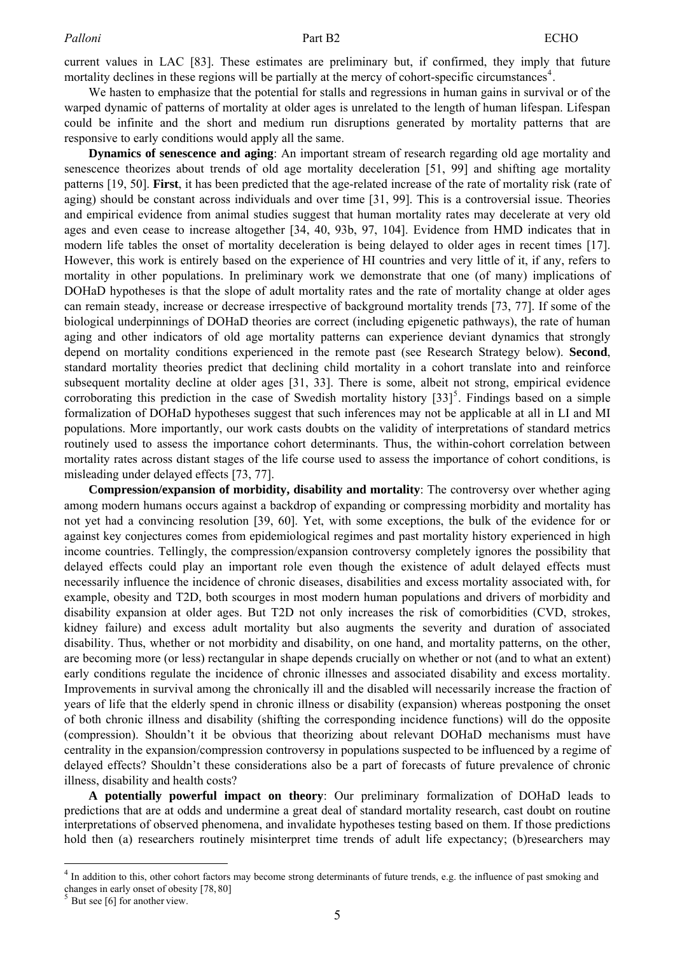current values in LAC [\[83\].](#page-17-0) These estimates are preliminary but, if confirmed, they imply that future mortality declines in these regions will be partially at the mercy of cohort-specific circumstances<sup>[4](#page-4-0)</sup>.

We hasten to emphasize that the potential for stalls and regressions in human gains in survival or of the warped dynamic of patterns of mortality at older ages is unrelated to the length of human lifespan. Lifespan could be infinite and the short and medium run disruptions generated by mortality patterns that are responsive to early conditions would apply all the same.

**Dynamics of senescence and aging**: An important stream of research regarding old age mortality and senescence theorizes about trends of old age mortality deceleration [\[51,](#page-16-0) [99\]](#page-18-0) and shifting age mortality patterns [\[19,](#page-14-0) [50\].](#page-16-0) **First**, it has been predicted that the age-related increase of the rate of mortality risk (rate of aging) should be constant across individuals and over time [\[31,](#page-15-0) [99\].](#page-18-0) This is a controversial issue. Theories and empirical evidence from animal studies suggest that human mortality rates may decelerate at very old ages and even cease to increase altogether [\[34,](#page-15-0) [40,](#page-15-0) 93b, [97,](#page-18-0) [104\]](#page-18-0). Evidence from HMD indicates that in modern life tables the onset of mortality deceleration is being delayed to older ages in recent times [\[17\].](#page-14-0) However, this work is entirely based on the experience of HI countries and very little of it, if any, refers to mortality in other populations. In preliminary work we demonstrate that one (of many) implications of DOHaD hypotheses is that the slope of adult mortality rates and the rate of mortality change at older ages can remain steady, increase or decrease irrespective of background mortality trends [\[73,](#page-17-0) [77\].](#page-17-0) If some of the biological underpinnings of DOHaD theories are correct (including epigenetic pathways), the rate of human aging and other indicators of old age mortality patterns can experience deviant dynamics that strongly depend on mortality conditions experienced in the remote past (see Research Strategy below). **Second**, standard mortality theories predict that declining child mortality in a cohort translate into and reinforce subsequent mortality decline at older ages [\[31,](#page-15-0) [33\].](#page-15-0) There is some, albeit not strong, empirical evidence corroborating this prediction in the case of Swedish mortality history  $[33]$ <sup>[5](#page-4-1)</sup>. Findings based on a simple formalization of DOHaD hypotheses suggest that such inferences may not be applicable at all in LI and MI populations. More importantly, our work casts doubts on the validity of interpretations of standard metrics routinely used to assess the importance cohort determinants. Thus, the within-cohort correlation between mortality rates across distant stages of the life course used to assess the importance of cohort conditions, is misleading under delayed effects [\[73,](#page-17-0) [77\].](#page-17-0)

**Compression/expansion of morbidity, disability and mortality**: The controversy over whether aging among modern humans occurs against a backdrop of expanding or compressing morbidity and mortality has not yet had a convincing resolution [\[39,](#page-15-0) [60\].](#page-16-0) Yet, with some exceptions, the bulk of the evidence for or against key conjectures comes from epidemiological regimes and past mortality history experienced in high income countries. Tellingly, the compression/expansion controversy completely ignores the possibility that delayed effects could play an important role even though the existence of adult delayed effects must necessarily influence the incidence of chronic diseases, disabilities and excess mortality associated with, for example, obesity and T2D, both scourges in most modern human populations and drivers of morbidity and disability expansion at older ages. But T2D not only increases the risk of comorbidities (CVD, strokes, kidney failure) and excess adult mortality but also augments the severity and duration of associated disability. Thus, whether or not morbidity and disability, on one hand, and mortality patterns, on the other, are becoming more (or less) rectangular in shape depends crucially on whether or not (and to what an extent) early conditions regulate the incidence of chronic illnesses and associated disability and excess mortality. Improvements in survival among the chronically ill and the disabled will necessarily increase the fraction of years of life that the elderly spend in chronic illness or disability (expansion) whereas postponing the onset of both chronic illness and disability (shifting the corresponding incidence functions) will do the opposite (compression). Shouldn't it be obvious that theorizing about relevant DOHaD mechanisms must have centrality in the expansion/compression controversy in populations suspected to be influenced by a regime of delayed effects? Shouldn't these considerations also be a part of forecasts of future prevalence of chronic illness, disability and health costs?

**A potentially powerful impact on theory**: Our preliminary formalization of DOHaD leads to predictions that are at odds and undermine a great deal of standard mortality research, cast doubt on routine interpretations of observed phenomena, and invalidate hypotheses testing based on them. If those predictions hold then (a) researchers routinely misinterpret time trends of adult life expectancy; (b)researchers may

 $\overline{a}$ 

<span id="page-4-0"></span><sup>&</sup>lt;sup>4</sup> In addition to this, other cohort factors may become strong determinants of future trends, e.g. the influence of past smoking and changes in early onset of obesity [\[78,](#page-17-0) [80\]](#page-17-0)<br><sup>5</sup> But see [\[6\]](#page-14-0) for another view.

<span id="page-4-1"></span>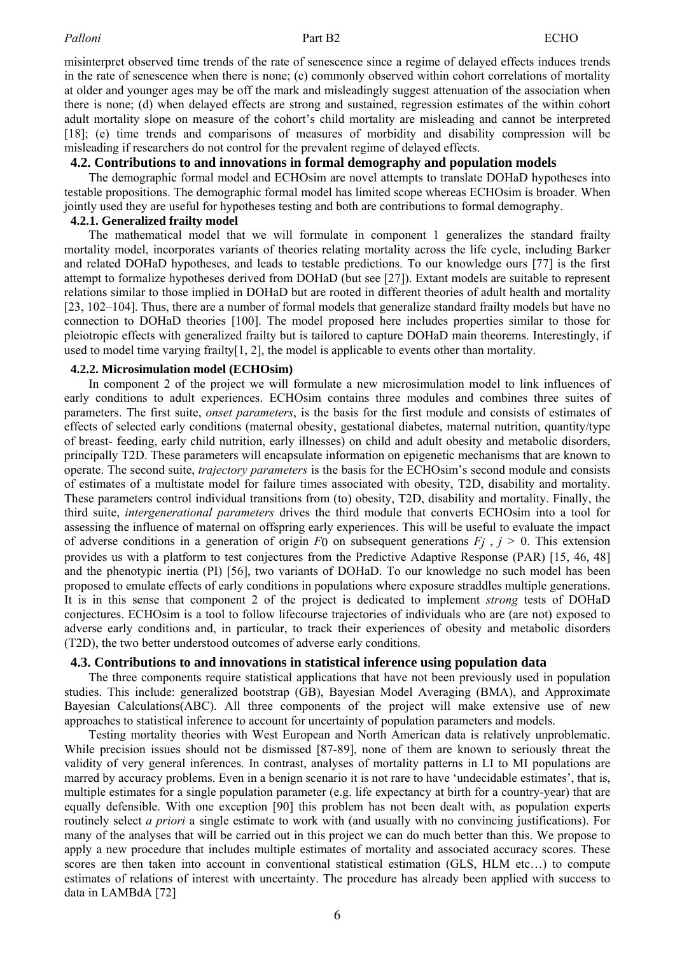misinterpret observed time trends of the rate of senescence since a regime of delayed effects induces trends in the rate of senescence when there is none; (c) commonly observed within cohort correlations of mortality at older and younger ages may be off the mark and misleadingly suggest attenuation of the association when there is none; (d) when delayed effects are strong and sustained, regression estimates of the within cohort adult mortality slope on measure of the cohort's child mortality are misleading and cannot be interpreted [\[18\];](#page-14-0) (e) time trends and comparisons of measures of morbidity and disability compression will be misleading if researchers do not control for the prevalent regime of delayed effects.

#### **4.2. Contributions to and innovations in formal demography and population models**

The demographic formal model and ECHOsim are novel attempts to translate DOHaD hypotheses into testable propositions. The demographic formal model has limited scope whereas ECHOsim is broader. When jointly used they are useful for hypotheses testing and both are contributions to formal demography.

## **4.2.1. Generalized frailty model**

The mathematical model that we will formulate in component 1 generalizes the standard frailty mortality model, incorporates variants of theories relating mortality across the life cycle, including Barker and related DOHaD hypotheses, and leads to testable predictions. To our knowledge ours [\[77\] is](#page-17-0) the first attempt to formalize hypotheses derived from DOHaD (but see [\[27\]\).](#page-15-0) Extant models are suitable to represent relations similar to those implied in DOHaD but are rooted in different theories of adult health and mortality [\[23,](#page-14-0) [102–104\].](#page-18-0) Thus, there are a number of formal models that generalize standard frailty models but have no connection to DOHaD theories [\[100\].](#page-18-0) The model proposed here includes properties similar to those for pleiotropic effects with generalized frailty but is tailored to capture DOHaD main theorems. Interestingly, if used to model time varying frailty[\[1,](#page-14-0) [2\],](#page-14-0) the model is applicable to events other than mortality.

#### **4.2.2. Microsimulation model (ECHOsim)**

In component 2 of the project we will formulate a new microsimulation model to link influences of early conditions to adult experiences. ECHOsim contains three modules and combines three suites of parameters. The first suite, *onset parameters*, is the basis for the first module and consists of estimates of effects of selected early conditions (maternal obesity, gestational diabetes, maternal nutrition, quantity/type of breast- feeding, early child nutrition, early illnesses) on child and adult obesity and metabolic disorders, principally T2D. These parameters will encapsulate information on epigenetic mechanisms that are known to operate. The second suite, *trajectory parameters* is the basis for the ECHOsim's second module and consists of estimates of a multistate model for failure times associated with obesity, T2D, disability and mortality. These parameters control individual transitions from (to) obesity, T2D, disability and mortality. Finally, the third suite, *intergenerational parameters* drives the third module that converts ECHOsim into a tool for assessing the influence of maternal on offspring early experiences. This will be useful to evaluate the impact of adverse conditions in a generation of origin  $F_0$  on subsequent generations  $F_j$ ,  $j > 0$ . This extension provides us with a platform to test conjectures from the Predictive Adaptive Response (PAR) [\[15,](#page-14-0) 46, [48](#page-16-0)] and the phenotypic inertia (PI) [\[56\],](#page-16-0) two variants of DOHaD. To our knowledge no such model has been proposed to emulate effects of early conditions in populations where exposure straddles multiple generations. It is in this sense that component 2 of the project is dedicated to implement *strong* tests of DOHaD conjectures. ECHOsim is a tool to follow lifecourse trajectories of individuals who are (are not) exposed to adverse early conditions and, in particular, to track their experiences of obesity and metabolic disorders (T2D), the two better understood outcomes of adverse early conditions.

## **4.3. Contributions to and innovations in statistical inference using population data**

The three components require statistical applications that have not been previously used in population studies. This include: generalized bootstrap (GB), Bayesian Model Averaging (BMA), and Approximate Bayesian Calculations(ABC). All three components of the project will make extensive use of new approaches to statistical inference to account for uncertainty of population parameters and models.

Testing mortality theories with West European and North American data is relatively unproblematic. While precision issues should not be dismissed [87-89], none of them are known to seriously threat the validity of very general inferences. In contrast, analyses of mortality patterns in LI to MI populations are marred by accuracy problems. Even in a benign scenario it is not rare to have 'undecidable estimates', that is, multiple estimates for a single population parameter (e.g. life expectancy at birth for a country-year) that are equally defensible. With one exception [90] this problem has not been dealt with, as population experts routinely select *a priori* a single estimate to work with (and usually with no convincing justifications). For many of the analyses that will be carried out in this project we can do much better than this. We propose to apply a new procedure that includes multiple estimates of mortality and associated accuracy scores. These scores are then taken into account in conventional statistical estimation (GLS, HLM etc…) to compute estimates of relations of interest with uncertainty. The procedure has already been applied with success to data in LAMBdA [\[72\]](#page-17-0)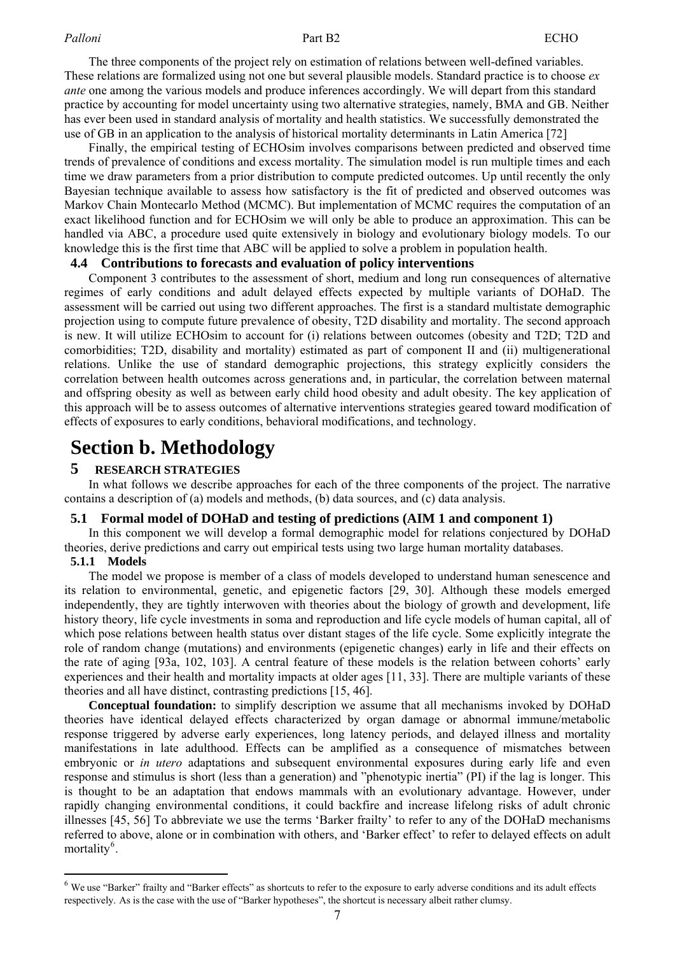The three components of the project rely on estimation of relations between well-defined variables. These relations are formalized using not one but several plausible models. Standard practice is to choose *ex ante* one among the various models and produce inferences accordingly. We will depart from this standard practice by accounting for model uncertainty using two alternative strategies, namely, BMA and GB. Neither has ever been used in standard analysis of mortality and health statistics. We successfully demonstrated the use of GB in an application to the analysis of historical mortality determinants in Latin America [\[72\]](#page-17-0) 

Finally, the empirical testing of ECHOsim involves comparisons between predicted and observed time trends of prevalence of conditions and excess mortality. The simulation model is run multiple times and each time we draw parameters from a prior distribution to compute predicted outcomes. Up until recently the only Bayesian technique available to assess how satisfactory is the fit of predicted and observed outcomes was Markov Chain Montecarlo Method (MCMC). But implementation of MCMC requires the computation of an exact likelihood function and for ECHOsim we will only be able to produce an approximation. This can be handled via ABC, a procedure used quite extensively in biology and evolutionary biology models. To our knowledge this is the first time that ABC will be applied to solve a problem in population health.

#### **4.4 Contributions to forecasts and evaluation of policy interventions**

Component 3 contributes to the assessment of short, medium and long run consequences of alternative regimes of early conditions and adult delayed effects expected by multiple variants of DOHaD. The assessment will be carried out using two different approaches. The first is a standard multistate demographic projection using to compute future prevalence of obesity, T2D disability and mortality. The second approach is new. It will utilize ECHOsim to account for (i) relations between outcomes (obesity and T2D; T2D and comorbidities; T2D, disability and mortality) estimated as part of component II and (ii) multigenerational relations. Unlike the use of standard demographic projections, this strategy explicitly considers the correlation between health outcomes across generations and, in particular, the correlation between maternal and offspring obesity as well as between early child hood obesity and adult obesity. The key application of this approach will be to assess outcomes of alternative interventions strategies geared toward modification of effects of exposures to early conditions, behavioral modifications, and technology.

# **Section b. Methodology**

## **5 RESEARCH STRATEGIES**

In what follows we describe approaches for each of the three components of the project. The narrative contains a description of (a) models and methods, (b) data sources, and (c) data analysis.

#### **5.1 Formal model of DOHaD and testing of predictions (AIM 1 and component 1)**

In this component we will develop a formal demographic model for relations conjectured by DOHaD theories, derive predictions and carry out empirical tests using two large human mortality databases.

### **5.1.1 Models**

 $\overline{a}$ 

The model we propose is member of a class of models developed to understand human senescence and its relation to environmental, genetic, and epigenetic factors [\[29,](#page-15-0) [30\].](#page-15-0) Although these models emerged independently, they are tightly interwoven with theories about the biology of growth and development, life history theory, life cycle investments in soma and reproduction and life cycle models of human capital, all of which pose relations between health status over distant stages of the life cycle. Some explicitly integrate the role of random change (mutations) and environments (epigenetic changes) early in life and their effects on the rate of aging [\[93a,](#page-18-0) [102,](#page-18-0) [103\].](#page-18-0) A central feature of these models is the relation between cohorts' early experiences and their health and mortality impacts at older ages [[11,](#page-14-0) [33\].](#page-15-0) There are multiple variants of these theories and all have distinct, contrasting predictions [\[15,](#page-14-0) [46\].](#page-16-0) 

**Conceptual foundation:** to simplify description we assume that all mechanisms invoked by DOHaD theories have identical delayed effects characterized by organ damage or abnormal immune/metabolic response triggered by adverse early experiences, long latency periods, and delayed illness and mortality manifestations in late adulthood. Effects can be amplified as a consequence of mismatches between embryonic or *in utero* adaptations and subsequent environmental exposures during early life and even response and stimulus is short (less than a generation) and "phenotypic inertia" (PI) if the lag is longer. This is thought to be an adaptation that endows mammals with an evolutionary advantage. However, under rapidly changing environmental conditions, it could backfire and increase lifelong risks of adult chronic illnesses [\[45,](#page-15-0) [56\]](#page-16-0) To abbreviate we use the terms 'Barker frailty' to refer to any of the DOHaD mechanisms referred to above, alone or in combination with others, and 'Barker effect' to refer to delayed effects on adult mortality<sup>[6](#page-6-0)</sup>.

<span id="page-6-0"></span><sup>&</sup>lt;sup>6</sup> We use "Barker" frailty and "Barker effects" as shortcuts to refer to the exposure to early adverse conditions and its adult effects respectively. As is the case with the use of "Barker hypotheses", the shortcut is necessary albeit rather clumsy.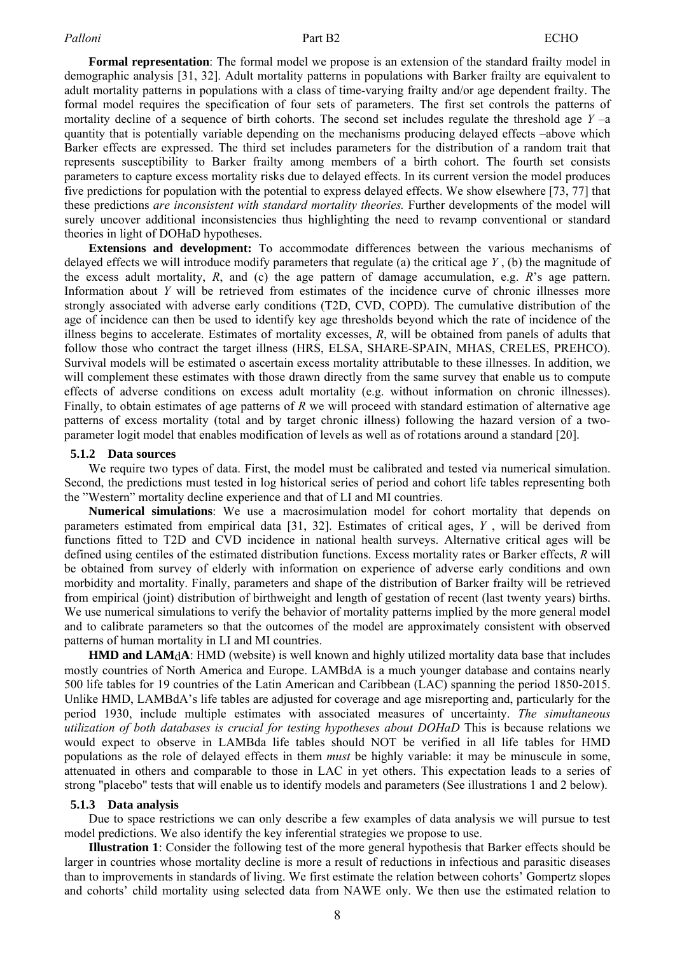**Formal representation**: The formal model we propose is an extension of the standard frailty model in demographic analysis [31, 32]. Adult mortality patterns in populations with Barker frailty are equivalent to adult mortality patterns in populations with a class of time-varying frailty and/or age dependent frailty. The formal model requires the specification of four sets of parameters. The first set controls the patterns of mortality decline of a sequence of birth cohorts. The second set includes regulate the threshold age *Y* –a quantity that is potentially variable depending on the mechanisms producing delayed effects –above which Barker effects are expressed. The third set includes parameters for the distribution of a random trait that represents susceptibility to Barker frailty among members of a birth cohort. The fourth set consists parameters to capture excess mortality risks due to delayed effects. In its current version the model produces five predictions for population with the potential to express delayed effects. We show elsewhere [73, 77] that these predictions *are inconsistent with standard mortality theories.* Further developments of the model will surely uncover additional inconsistencies thus highlighting the need to revamp conventional or standard theories in light of DOHaD hypotheses.

**Extensions and development:** To accommodate differences between the various mechanisms of delayed effects we will introduce modify parameters that regulate (a) the critical age *Y* , (b) the magnitude of the excess adult mortality,  $R$ , and (c) the age pattern of damage accumulation, e.g.  $R$ 's age pattern. Information about *Y* will be retrieved from estimates of the incidence curve of chronic illnesses more strongly associated with adverse early conditions (T2D, CVD, COPD). The cumulative distribution of the age of incidence can then be used to identify key age thresholds beyond which the rate of incidence of the illness begins to accelerate. Estimates of mortality excesses, *R*, will be obtained from panels of adults that follow those who contract the target illness (HRS, ELSA, SHARE-SPAIN, MHAS, CRELES, PREHCO). Survival models will be estimated o ascertain excess mortality attributable to these illnesses. In addition, we will complement these estimates with those drawn directly from the same survey that enable us to compute effects of adverse conditions on excess adult mortality (e.g. without information on chronic illnesses). Finally, to obtain estimates of age patterns of *R* we will proceed with standard estimation of alternative age patterns of excess mortality (total and by target chronic illness) following the hazard version of a twoparameter logit model that enables modification of levels as well as of rotations around a standard [\[20\].](#page-14-0)

#### **5.1.2 Data sources**

We require two types of data. First, the model must be calibrated and tested via numerical simulation. Second, the predictions must tested in log historical series of period and cohort life tables representing both the "Western" mortality decline experience and that of LI and MI countries.

**Numerical simulations**: We use a macrosimulation model for cohort mortality that depends on parameters estimated from empirical data [31, 32]. Estimates of critical ages, *Y* , will be derived from functions fitted to T2D and CVD incidence in national health surveys. Alternative critical ages will be defined using centiles of the estimated distribution functions. Excess mortality rates or Barker effects, *R* will be obtained from survey of elderly with information on experience of adverse early conditions and own morbidity and mortality. Finally, parameters and shape of the distribution of Barker frailty will be retrieved from empirical (joint) distribution of birthweight and length of gestation of recent (last twenty years) births. We use numerical simulations to verify the behavior of mortality patterns implied by the more general model and to calibrate parameters so that the outcomes of the model are approximately consistent with observed patterns of human mortality in LI and MI countries.

**HMD and LAM**d**A**: HMD (website) is well known and highly utilized mortality data base that includes mostly countries of North America and Europe. LAMBdA is a much younger database and contains nearly 500 life tables for 19 countries of the Latin American and Caribbean (LAC) spanning the period 1850-2015. Unlike HMD, LAMBdA's life tables are adjusted for coverage and age misreporting and, particularly for the period 1930, include multiple estimates with associated measures of uncertainty. *The simultaneous utilization of both databases is crucial for testing hypotheses about DOHaD* This is because relations we would expect to observe in LAMBda life tables should NOT be verified in all life tables for HMD populations as the role of delayed effects in them *must* be highly variable: it may be minuscule in some, attenuated in others and comparable to those in LAC in yet others. This expectation leads to a series of strong "placebo" tests that will enable us to identify models and parameters (See illustrations 1 and 2 below).

#### **5.1.3 Data analysis**

Due to space restrictions we can only describe a few examples of data analysis we will pursue to test model predictions. We also identify the key inferential strategies we propose to use.

**Illustration 1**: Consider the following test of the more general hypothesis that Barker effects should be larger in countries whose mortality decline is more a result of reductions in infectious and parasitic diseases than to improvements in standards of living. We first estimate the relation between cohorts' Gompertz slopes and cohorts' child mortality using selected data from NAWE only. We then use the estimated relation to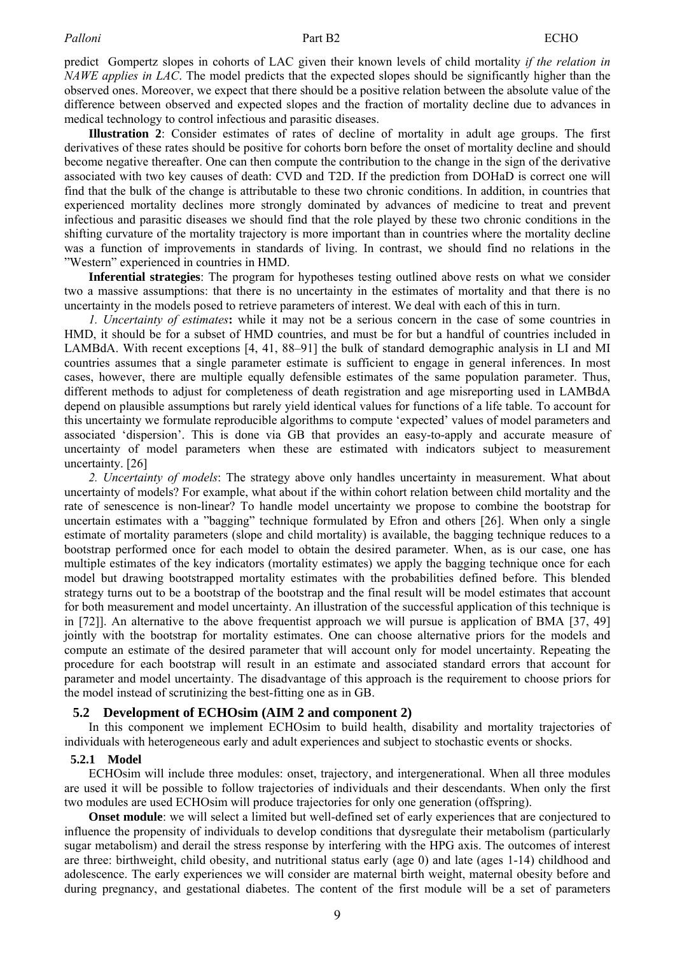predict Gompertz slopes in cohorts of LAC given their known levels of child mortality *if the relation in NAWE applies in LAC*. The model predicts that the expected slopes should be significantly higher than the observed ones. Moreover, we expect that there should be a positive relation between the absolute value of the difference between observed and expected slopes and the fraction of mortality decline due to advances in medical technology to control infectious and parasitic diseases.

**Illustration 2**: Consider estimates of rates of decline of mortality in adult age groups. The first derivatives of these rates should be positive for cohorts born before the onset of mortality decline and should become negative thereafter. One can then compute the contribution to the change in the sign of the derivative associated with two key causes of death: CVD and T2D. If the prediction from DOHaD is correct one will find that the bulk of the change is attributable to these two chronic conditions. In addition, in countries that experienced mortality declines more strongly dominated by advances of medicine to treat and prevent infectious and parasitic diseases we should find that the role played by these two chronic conditions in the shifting curvature of the mortality trajectory is more important than in countries where the mortality decline was a function of improvements in standards of living. In contrast, we should find no relations in the "Western" experienced in countries in HMD.

**Inferential strategies**: The program for hypotheses testing outlined above rests on what we consider two a massive assumptions: that there is no uncertainty in the estimates of mortality and that there is no uncertainty in the models posed to retrieve parameters of interest. We deal with each of this in turn.

*1. Uncertainty of estimates***:** while it may not be a serious concern in the case of some countries in HMD, it should be for a subset of HMD countries, and must be for but a handful of countries included in LAMBdA. With recent exceptions [\[4,](#page-14-0) [41,](#page-15-0) [88–91\]](#page-18-0) the bulk of standard demographic analysis in LI and MI countries assumes that a single parameter estimate is sufficient to engage in general inferences. In most cases, however, there are multiple equally defensible estimates of the same population parameter. Thus, different methods to adjust for completeness of death registration and age misreporting used in LAMBdA depend on plausible assumptions but rarely yield identical values for functions of a life table. To account for this uncertainty we formulate reproducible algorithms to compute 'expected' values of model parameters and associated 'dispersion'. This is done via GB that provides an easy-to-apply and accurate measure of uncertainty of model parameters when these are estimated with indicators subject to measurement uncertainty. [\[26\]](#page-15-0) 

*2. Uncertainty of models*: The strategy above only handles uncertainty in measurement. What about uncertainty of models? For example, what about if the within cohort relation between child mortality and the rate of senescence is non-linear? To handle model uncertainty we propose to combine the bootstrap for uncertain estimates with a "bagging" technique formulated by Efron and others [\[26\].](#page-15-0) When only a single estimate of mortality parameters (slope and child mortality) is available, the bagging technique reduces to a bootstrap performed once for each model to obtain the desired parameter. When, as is our case, one has multiple estimates of the key indicators (mortality estimates) we apply the bagging technique once for each model but drawing bootstrapped mortality estimates with the probabilities defined before. This blended strategy turns out to be a bootstrap of the bootstrap and the final result will be model estimates that account for both measurement and model uncertainty. An illustration of the successful application of this technique is in [\[72\]\].](#page-17-0) An alternative to the above frequentist approach we will pursue is application of BMA [\[37,](#page-15-0) [49\]](#page-16-0) jointly with the bootstrap for mortality estimates. One can choose alternative priors for the models and compute an estimate of the desired parameter that will account only for model uncertainty. Repeating the procedure for each bootstrap will result in an estimate and associated standard errors that account for parameter and model uncertainty. The disadvantage of this approach is the requirement to choose priors for the model instead of scrutinizing the best-fitting one as in GB.

#### **5.2 Development of ECHOsim (AIM 2 and component 2)**

In this component we implement ECHOsim to build health, disability and mortality trajectories of individuals with heterogeneous early and adult experiences and subject to stochastic events or shocks.

#### **5.2.1 Model**

ECHOsim will include three modules: onset, trajectory, and intergenerational. When all three modules are used it will be possible to follow trajectories of individuals and their descendants. When only the first two modules are used ECHOsim will produce trajectories for only one generation (offspring).

**Onset module**: we will select a limited but well-defined set of early experiences that are conjectured to influence the propensity of individuals to develop conditions that dysregulate their metabolism (particularly sugar metabolism) and derail the stress response by interfering with the HPG axis. The outcomes of interest are three: birthweight, child obesity, and nutritional status early (age 0) and late (ages 1-14) childhood and adolescence. The early experiences we will consider are maternal birth weight, maternal obesity before and during pregnancy, and gestational diabetes. The content of the first module will be a set of parameters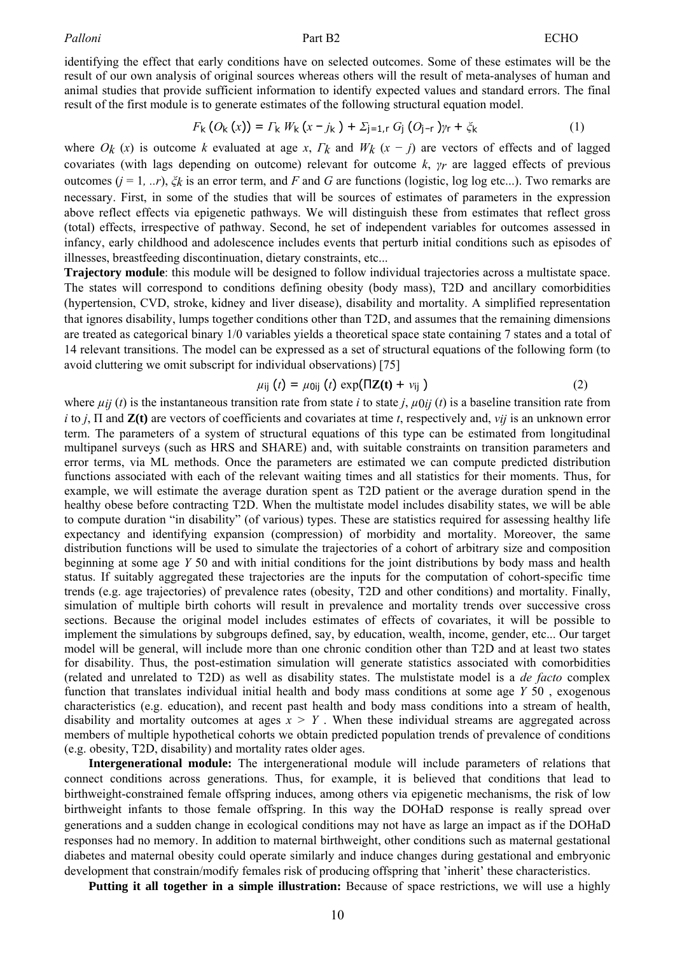identifying the effect that early conditions have on selected outcomes. Some of these estimates will be the result of our own analysis of original sources whereas others will the result of meta-analyses of human and animal studies that provide sufficient information to identify expected values and standard errors. The final result of the first module is to generate estimates of the following structural equation model.

$$
F_k(O_k(x)) = \Gamma_k W_k(x - j_k) + \Sigma_{j=1,r} G_j(O_{j-r})\gamma_r + \zeta_k
$$
 (1)

where  $O_k(x)$  is outcome *k* evaluated at age *x*,  $\Gamma_k$  and  $W_k(x - j)$  are vectors of effects and of lagged covariates (with lags depending on outcome) relevant for outcome *k*, *γr* are lagged effects of previous outcomes  $(j = 1, ..., \xi_k)$  is an error term, and *F* and *G* are functions (logistic, log log etc...). Two remarks are necessary. First, in some of the studies that will be sources of estimates of parameters in the expression above reflect effects via epigenetic pathways. We will distinguish these from estimates that reflect gross (total) effects, irrespective of pathway. Second, he set of independent variables for outcomes assessed in infancy, early childhood and adolescence includes events that perturb initial conditions such as episodes of illnesses, breastfeeding discontinuation, dietary constraints, etc...

**Trajectory module**: this module will be designed to follow individual trajectories across a multistate space. The states will correspond to conditions defining obesity (body mass), T2D and ancillary comorbidities (hypertension, CVD, stroke, kidney and liver disease), disability and mortality. A simplified representation that ignores disability, lumps together conditions other than T2D, and assumes that the remaining dimensions are treated as categorical binary 1/0 variables yields a theoretical space state containing 7 states and a total of 14 relevant transitions. The model can be expressed as a set of structural equations of the following form (to avoid cluttering we omit subscript for individual observations) [\[75\]](#page-17-0) 

$$
\mu_{ij}(t) = \mu_{0ij}(t) \exp(\Pi \mathbf{Z}(t) + v_{ij})
$$
\n(2)

where  $\mu_{ij}$  (*t*) is the instantaneous transition rate from state *i* to state *j*,  $\mu_{0ij}$  (*t*) is a baseline transition rate from *i* to *j*, Π and **Z(t)** are vectors of coefficients and covariates at time *t*, respectively and, *νij* is an unknown error term. The parameters of a system of structural equations of this type can be estimated from longitudinal multipanel surveys (such as HRS and SHARE) and, with suitable constraints on transition parameters and error terms, via ML methods. Once the parameters are estimated we can compute predicted distribution functions associated with each of the relevant waiting times and all statistics for their moments. Thus, for example, we will estimate the average duration spent as T2D patient or the average duration spend in the healthy obese before contracting T2D. When the multistate model includes disability states, we will be able to compute duration "in disability" (of various) types. These are statistics required for assessing healthy life expectancy and identifying expansion (compression) of morbidity and mortality. Moreover, the same distribution functions will be used to simulate the trajectories of a cohort of arbitrary size and composition beginning at some age *Y* 50 and with initial conditions for the joint distributions by body mass and health status. If suitably aggregated these trajectories are the inputs for the computation of cohort-specific time trends (e.g. age trajectories) of prevalence rates (obesity, T2D and other conditions) and mortality. Finally, simulation of multiple birth cohorts will result in prevalence and mortality trends over successive cross sections. Because the original model includes estimates of effects of covariates, it will be possible to implement the simulations by subgroups defined, say, by education, wealth, income, gender, etc... Our target model will be general, will include more than one chronic condition other than T2D and at least two states for disability. Thus, the post-estimation simulation will generate statistics associated with comorbidities (related and unrelated to T2D) as well as disability states. The mulstistate model is a *de facto* complex function that translates individual initial health and body mass conditions at some age *Y* 50 , exogenous characteristics (e.g. education), and recent past health and body mass conditions into a stream of health, disability and mortality outcomes at ages  $x > Y$ . When these individual streams are aggregated across members of multiple hypothetical cohorts we obtain predicted population trends of prevalence of conditions (e.g. obesity, T2D, disability) and mortality rates older ages.

**Intergenerational module:** The intergenerational module will include parameters of relations that connect conditions across generations. Thus, for example, it is believed that conditions that lead to birthweight-constrained female offspring induces, among others via epigenetic mechanisms, the risk of low birthweight infants to those female offspring. In this way the DOHaD response is really spread over generations and a sudden change in ecological conditions may not have as large an impact as if the DOHaD responses had no memory. In addition to maternal birthweight, other conditions such as maternal gestational diabetes and maternal obesity could operate similarly and induce changes during gestational and embryonic development that constrain/modify females risk of producing offspring that 'inherit' these characteristics.

**Putting it all together in a simple illustration:** Because of space restrictions, we will use a highly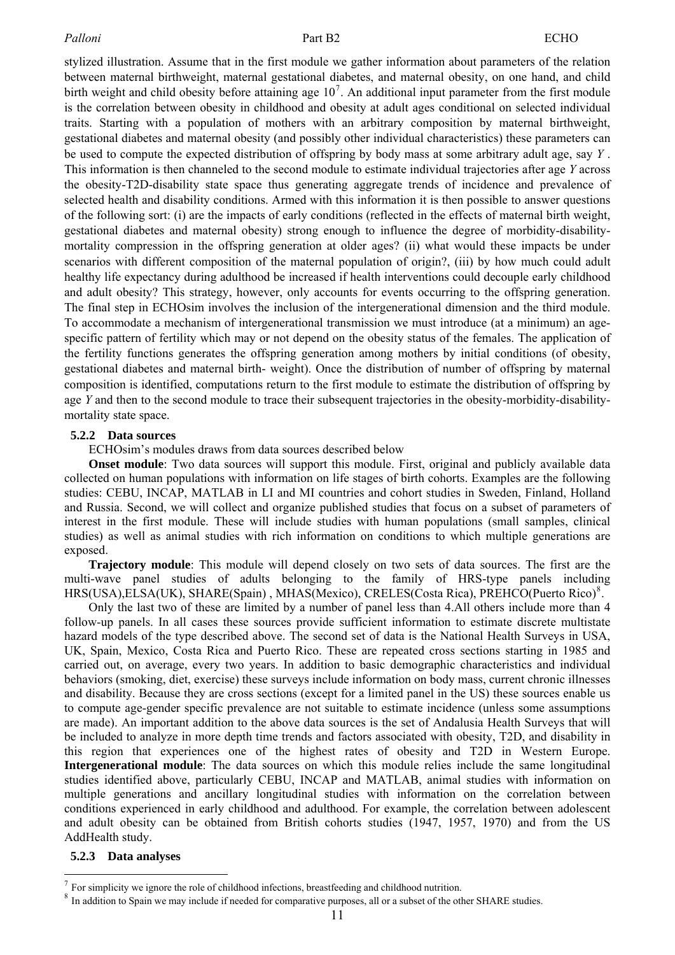stylized illustration. Assume that in the first module we gather information about parameters of the relation between maternal birthweight, maternal gestational diabetes, and maternal obesity, on one hand, and child birth weight and child obesity before attaining age  $10<sup>7</sup>$  $10<sup>7</sup>$  $10<sup>7</sup>$ . An additional input parameter from the first module is the correlation between obesity in childhood and obesity at adult ages conditional on selected individual traits. Starting with a population of mothers with an arbitrary composition by maternal birthweight, gestational diabetes and maternal obesity (and possibly other individual characteristics) these parameters can be used to compute the expected distribution of offspring by body mass at some arbitrary adult age, say *Y* . This information is then channeled to the second module to estimate individual trajectories after age *Y* across the obesity-T2D-disability state space thus generating aggregate trends of incidence and prevalence of selected health and disability conditions. Armed with this information it is then possible to answer questions of the following sort: (i) are the impacts of early conditions (reflected in the effects of maternal birth weight, gestational diabetes and maternal obesity) strong enough to influence the degree of morbidity-disabilitymortality compression in the offspring generation at older ages? (ii) what would these impacts be under scenarios with different composition of the maternal population of origin?, (iii) by how much could adult healthy life expectancy during adulthood be increased if health interventions could decouple early childhood and adult obesity? This strategy, however, only accounts for events occurring to the offspring generation. The final step in ECHOsim involves the inclusion of the intergenerational dimension and the third module. To accommodate a mechanism of intergenerational transmission we must introduce (at a minimum) an agespecific pattern of fertility which may or not depend on the obesity status of the females. The application of the fertility functions generates the offspring generation among mothers by initial conditions (of obesity, gestational diabetes and maternal birth- weight). Once the distribution of number of offspring by maternal composition is identified, computations return to the first module to estimate the distribution of offspring by age *Y* and then to the second module to trace their subsequent trajectories in the obesity-morbidity-disabilitymortality state space.

#### **5.2.2 Data sources**

ECHOsim's modules draws from data sources described below

**Onset module**: Two data sources will support this module. First, original and publicly available data collected on human populations with information on life stages of birth cohorts. Examples are the following studies: CEBU, INCAP, MATLAB in LI and MI countries and cohort studies in Sweden, Finland, Holland and Russia. Second, we will collect and organize published studies that focus on a subset of parameters of interest in the first module. These will include studies with human populations (small samples, clinical studies) as well as animal studies with rich information on conditions to which multiple generations are exposed.

**Trajectory module**: This module will depend closely on two sets of data sources. The first are the multi-wave panel studies of adults belonging to the family of HRS-type panels including HRS(USA), ELSA(UK), SHARE(Spain), MHAS(Mexico), CRELES(Costa Rica), PREHCO(Puerto Rico)<sup>[8](#page-10-1)</sup>.

Only the last two of these are limited by a number of panel less than 4.All others include more than 4 follow-up panels. In all cases these sources provide sufficient information to estimate discrete multistate hazard models of the type described above. The second set of data is the National Health Surveys in USA, UK, Spain, Mexico, Costa Rica and Puerto Rico. These are repeated cross sections starting in 1985 and carried out, on average, every two years. In addition to basic demographic characteristics and individual behaviors (smoking, diet, exercise) these surveys include information on body mass, current chronic illnesses and disability. Because they are cross sections (except for a limited panel in the US) these sources enable us to compute age-gender specific prevalence are not suitable to estimate incidence (unless some assumptions are made). An important addition to the above data sources is the set of Andalusia Health Surveys that will be included to analyze in more depth time trends and factors associated with obesity, T2D, and disability in this region that experiences one of the highest rates of obesity and T2D in Western Europe. **Intergenerational module**: The data sources on which this module relies include the same longitudinal studies identified above, particularly CEBU, INCAP and MATLAB, animal studies with information on multiple generations and ancillary longitudinal studies with information on the correlation between conditions experienced in early childhood and adulthood. For example, the correlation between adolescent and adult obesity can be obtained from British cohorts studies (1947, 1957, 1970) and from the US AddHealth study.

## **5.2.3 Data analyses**

 $\overline{a}$ 

<span id="page-10-0"></span> $7$  For simplicity we ignore the role of childhood infections, breastfeeding and childhood nutrition.

<span id="page-10-1"></span><sup>&</sup>lt;sup>8</sup> In addition to Spain we may include if needed for comparative purposes, all or a subset of the other SHARE studies.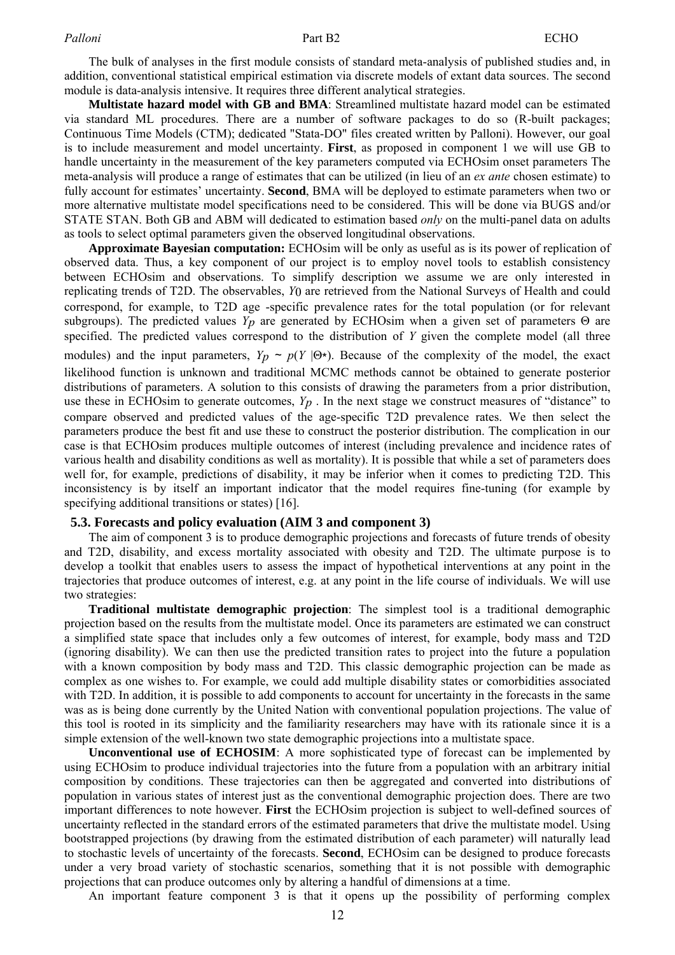The bulk of analyses in the first module consists of standard meta-analysis of published studies and, in addition, conventional statistical empirical estimation via discrete models of extant data sources. The second module is data-analysis intensive. It requires three different analytical strategies.

**Multistate hazard model with GB and BMA**: Streamlined multistate hazard model can be estimated via standard ML procedures. There are a number of software packages to do so (R-built packages; Continuous Time Models (CTM); dedicated "Stata-DO" files created written by Palloni). However, our goal is to include measurement and model uncertainty. **First**, as proposed in component 1 we will use GB to handle uncertainty in the measurement of the key parameters computed via ECHOsim onset parameters The meta-analysis will produce a range of estimates that can be utilized (in lieu of an *ex ante* chosen estimate) to fully account for estimates' uncertainty. **Second**, BMA will be deployed to estimate parameters when two or more alternative multistate model specifications need to be considered. This will be done via BUGS and/or STATE STAN. Both GB and ABM will dedicated to estimation based *only* on the multi-panel data on adults as tools to select optimal parameters given the observed longitudinal observations.

**Approximate Bayesian computation:** ECHOsim will be only as useful as is its power of replication of observed data. Thus, a key component of our project is to employ novel tools to establish consistency between ECHOsim and observations. To simplify description we assume we are only interested in replicating trends of T2D. The observables, *Y*0 are retrieved from the National Surveys of Health and could correspond, for example, to T2D age -specific prevalence rates for the total population (or for relevant subgroups). The predicted values *Yp* are generated by ECHOsim when a given set of parameters Θ are specified. The predicted values correspond to the distribution of *Y* given the complete model (all three modules) and the input parameters,  $Y_p \sim p(Y | \Theta^*)$ . Because of the complexity of the model, the exact likelihood function is unknown and traditional MCMC methods cannot be obtained to generate posterior distributions of parameters. A solution to this consists of drawing the parameters from a prior distribution, use these in ECHOsim to generate outcomes,  $Y_p$ . In the next stage we construct measures of "distance" to compare observed and predicted values of the age-specific T2D prevalence rates. We then select the parameters produce the best fit and use these to construct the posterior distribution. The complication in our case is that ECHOsim produces multiple outcomes of interest (including prevalence and incidence rates of various health and disability conditions as well as mortality). It is possible that while a set of parameters does well for, for example, predictions of disability, it may be inferior when it comes to predicting T2D. This inconsistency is by itself an important indicator that the model requires fine-tuning (for example by specifying additional transitions or states) [\[16\].](#page-14-0)

#### **5.3. Forecasts and policy evaluation (AIM 3 and component 3)**

The aim of component 3 is to produce demographic projections and forecasts of future trends of obesity and T2D, disability, and excess mortality associated with obesity and T2D. The ultimate purpose is to develop a toolkit that enables users to assess the impact of hypothetical interventions at any point in the trajectories that produce outcomes of interest, e.g. at any point in the life course of individuals. We will use two strategies:

**Traditional multistate demographic projection**: The simplest tool is a traditional demographic projection based on the results from the multistate model. Once its parameters are estimated we can construct a simplified state space that includes only a few outcomes of interest, for example, body mass and T2D (ignoring disability). We can then use the predicted transition rates to project into the future a population with a known composition by body mass and T2D. This classic demographic projection can be made as complex as one wishes to. For example, we could add multiple disability states or comorbidities associated with T2D. In addition, it is possible to add components to account for uncertainty in the forecasts in the same was as is being done currently by the United Nation with conventional population projections. The value of this tool is rooted in its simplicity and the familiarity researchers may have with its rationale since it is a simple extension of the well-known two state demographic projections into a multistate space.

**Unconventional use of ECHOSIM**: A more sophisticated type of forecast can be implemented by using ECHOsim to produce individual trajectories into the future from a population with an arbitrary initial composition by conditions. These trajectories can then be aggregated and converted into distributions of population in various states of interest just as the conventional demographic projection does. There are two important differences to note however. **First** the ECHOsim projection is subject to well-defined sources of uncertainty reflected in the standard errors of the estimated parameters that drive the multistate model. Using bootstrapped projections (by drawing from the estimated distribution of each parameter) will naturally lead to stochastic levels of uncertainty of the forecasts. **Second**, ECHOsim can be designed to produce forecasts under a very broad variety of stochastic scenarios, something that it is not possible with demographic projections that can produce outcomes only by altering a handful of dimensions at a time.

An important feature component 3 is that it opens up the possibility of performing complex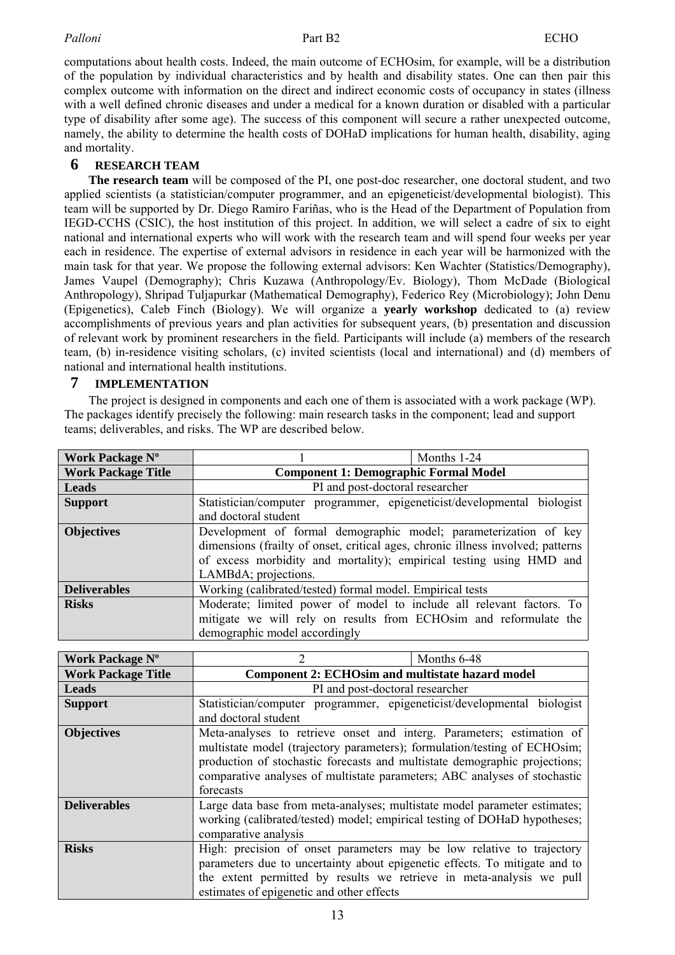#### Palloni **Part B2** ECHO

computations about health costs. Indeed, the main outcome of ECHOsim, for example, will be a distribution of the population by individual characteristics and by health and disability states. One can then pair this complex outcome with information on the direct and indirect economic costs of occupancy in states (illness with a well defined chronic diseases and under a medical for a known duration or disabled with a particular type of disability after some age). The success of this component will secure a rather unexpected outcome, namely, the ability to determine the health costs of DOHaD implications for human health, disability, aging and mortality.

## **6 RESEARCH TEAM**

**The research team** will be composed of the PI, one post-doc researcher, one doctoral student, and two applied scientists (a statistician/computer programmer, and an epigeneticist/developmental biologist). This team will be supported by Dr. Diego Ramiro Fariñas, who is the Head of the Department of Population from IEGD-CCHS (CSIC), the host institution of this project. In addition, we will select a cadre of six to eight national and international experts who will work with the research team and will spend four weeks per year each in residence. The expertise of external advisors in residence in each year will be harmonized with the main task for that year. We propose the following external advisors: Ken Wachter (Statistics/Demography), James Vaupel (Demography); Chris Kuzawa (Anthropology/Ev. Biology), Thom McDade (Biological Anthropology), Shripad Tuljapurkar (Mathematical Demography), Federico Rey (Microbiology); John Denu (Epigenetics), Caleb Finch (Biology). We will organize a **yearly workshop** dedicated to (a) review accomplishments of previous years and plan activities for subsequent years, (b) presentation and discussion of relevant work by prominent researchers in the field. Participants will include (a) members of the research team, (b) in-residence visiting scholars, (c) invited scientists (local and international) and (d) members of national and international health institutions.

## **7 IMPLEMENTATION**

The project is designed in components and each one of them is associated with a work package (WP). The packages identify precisely the following: main research tasks in the component; lead and support teams; deliverables, and risks. The WP are described below.

| Work Package N°           |                                                                                                                                                                                                                                                    | Months 1-24 |
|---------------------------|----------------------------------------------------------------------------------------------------------------------------------------------------------------------------------------------------------------------------------------------------|-------------|
| <b>Work Package Title</b> | <b>Component 1: Demographic Formal Model</b>                                                                                                                                                                                                       |             |
| <b>Leads</b>              | PI and post-doctoral researcher                                                                                                                                                                                                                    |             |
| <b>Support</b>            | Statistician/computer programmer, epigeneticist/developmental biologist                                                                                                                                                                            |             |
|                           | and doctoral student                                                                                                                                                                                                                               |             |
| <b>Objectives</b>         | Development of formal demographic model; parameterization of key<br>dimensions (frailty of onset, critical ages, chronic illness involved; patterns<br>of excess morbidity and mortality); empirical testing using HMD and<br>LAMBdA; projections. |             |
| <b>Deliverables</b>       | Working (calibrated/tested) formal model. Empirical tests                                                                                                                                                                                          |             |
| <b>Risks</b>              | Moderate; limited power of model to include all relevant factors. To<br>mitigate we will rely on results from ECHOsim and reformulate the<br>demographic model accordingly                                                                         |             |

| <b>Work Package N°</b>    | 2                                                                                                                                                                                                                                                                                                                          | Months 6-48 |
|---------------------------|----------------------------------------------------------------------------------------------------------------------------------------------------------------------------------------------------------------------------------------------------------------------------------------------------------------------------|-------------|
| <b>Work Package Title</b> | <b>Component 2: ECHOsim and multistate hazard model</b>                                                                                                                                                                                                                                                                    |             |
| <b>Leads</b>              | PI and post-doctoral researcher                                                                                                                                                                                                                                                                                            |             |
| <b>Support</b>            | Statistician/computer programmer, epigeneticist/developmental biologist<br>and doctoral student                                                                                                                                                                                                                            |             |
| <b>Objectives</b>         | Meta-analyses to retrieve onset and interg. Parameters; estimation of<br>multistate model (trajectory parameters); formulation/testing of ECHOsim;<br>production of stochastic forecasts and multistate demographic projections;<br>comparative analyses of multistate parameters; ABC analyses of stochastic<br>forecasts |             |
| <b>Deliverables</b>       | Large data base from meta-analyses; multistate model parameter estimates;<br>working (calibrated/tested) model; empirical testing of DOHaD hypotheses;<br>comparative analysis                                                                                                                                             |             |
| <b>Risks</b>              | High: precision of onset parameters may be low relative to trajectory<br>parameters due to uncertainty about epigenetic effects. To mitigate and to<br>the extent permitted by results we retrieve in meta-analysis we pull<br>estimates of epigenetic and other effects                                                   |             |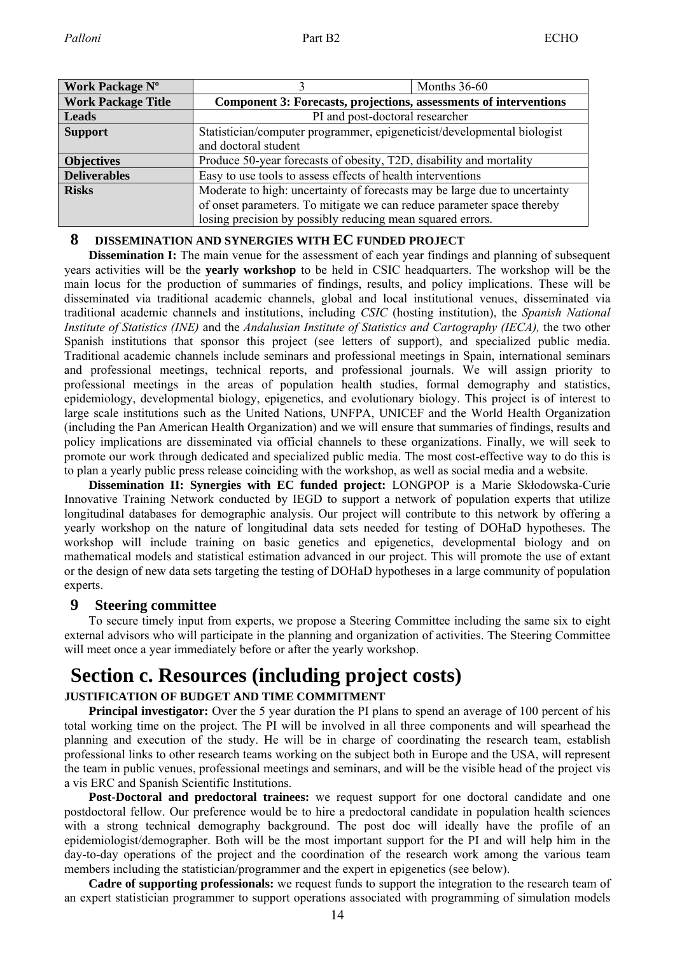| Work Package N°           |                                                                            | Months $36-60$ |
|---------------------------|----------------------------------------------------------------------------|----------------|
| <b>Work Package Title</b> | Component 3: Forecasts, projections, assessments of interventions          |                |
| Leads                     | PI and post-doctoral researcher                                            |                |
| <b>Support</b>            | Statistician/computer programmer, epigeneticist/developmental biologist    |                |
|                           | and doctoral student                                                       |                |
| <b>Objectives</b>         | Produce 50-year forecasts of obesity, T2D, disability and mortality        |                |
| <b>Deliverables</b>       | Easy to use tools to assess effects of health interventions                |                |
| <b>Risks</b>              | Moderate to high: uncertainty of forecasts may be large due to uncertainty |                |
|                           | of onset parameters. To mitigate we can reduce parameter space thereby     |                |
|                           | losing precision by possibly reducing mean squared errors.                 |                |

## **8 DISSEMINATION AND SYNERGIES WITH EC FUNDED PROJECT**

**Dissemination I:** The main venue for the assessment of each year findings and planning of subsequent years activities will be the **yearly workshop** to be held in CSIC headquarters. The workshop will be the main locus for the production of summaries of findings, results, and policy implications. These will be disseminated via traditional academic channels, global and local institutional venues, disseminated via traditional academic channels and institutions, including *CSIC* (hosting institution), the *Spanish National Institute of Statistics (INE)* and the *Andalusian Institute of Statistics and Cartography (IECA),* the two other Spanish institutions that sponsor this project (see letters of support), and specialized public media. Traditional academic channels include seminars and professional meetings in Spain, international seminars and professional meetings, technical reports, and professional journals. We will assign priority to professional meetings in the areas of population health studies, formal demography and statistics, epidemiology, developmental biology, epigenetics, and evolutionary biology. This project is of interest to large scale institutions such as the United Nations, UNFPA, UNICEF and the World Health Organization (including the Pan American Health Organization) and we will ensure that summaries of findings, results and policy implications are disseminated via official channels to these organizations. Finally, we will seek to promote our work through dedicated and specialized public media. The most cost-effective way to do this is to plan a yearly public press release coinciding with the workshop, as well as social media and a website.

**Dissemination II: Synergies with EC funded project:** LONGPOP is a Marie Skłodowska-Curie Innovative Training Network conducted by IEGD to support a network of population experts that utilize longitudinal databases for demographic analysis. Our project will contribute to this network by offering a yearly workshop on the nature of longitudinal data sets needed for testing of DOHaD hypotheses. The workshop will include training on basic genetics and epigenetics, developmental biology and on mathematical models and statistical estimation advanced in our project. This will promote the use of extant or the design of new data sets targeting the testing of DOHaD hypotheses in a large community of population experts.

## **9 Steering committee**

To secure timely input from experts, we propose a Steering Committee including the same six to eight external advisors who will participate in the planning and organization of activities. The Steering Committee will meet once a year immediately before or after the yearly workshop.

# **Section c. Resources (including project costs)**

## **JUSTIFICATION OF BUDGET AND TIME COMMITMENT**

**Principal investigator:** Over the 5 year duration the PI plans to spend an average of 100 percent of his total working time on the project. The PI will be involved in all three components and will spearhead the planning and execution of the study. He will be in charge of coordinating the research team, establish professional links to other research teams working on the subject both in Europe and the USA, will represent the team in public venues, professional meetings and seminars, and will be the visible head of the project vis a vis ERC and Spanish Scientific Institutions.

**Post-Doctoral and predoctoral trainees:** we request support for one doctoral candidate and one postdoctoral fellow. Our preference would be to hire a predoctoral candidate in population health sciences with a strong technical demography background. The post doc will ideally have the profile of an epidemiologist/demographer. Both will be the most important support for the PI and will help him in the day-to-day operations of the project and the coordination of the research work among the various team members including the statistician/programmer and the expert in epigenetics (see below).

**Cadre of supporting professionals:** we request funds to support the integration to the research team of an expert statistician programmer to support operations associated with programming of simulation models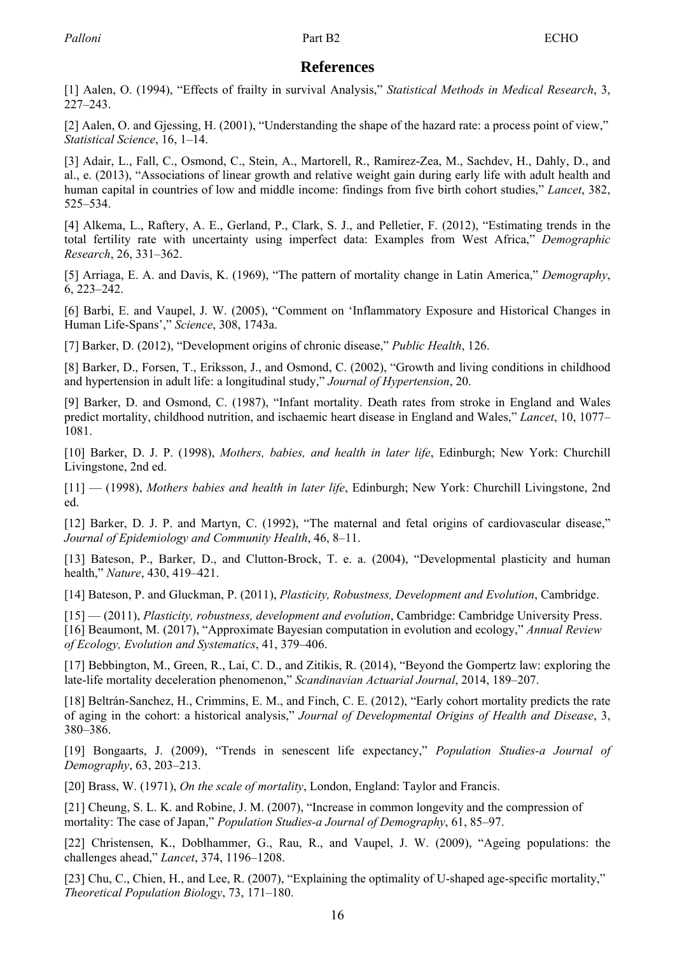## **References**

<span id="page-14-0"></span>[1] Aalen, O. (1994), "Effects of frailty in survival Analysis," *Statistical Methods in Medical Research*, 3, 227–243.

[2] Aalen, O. and Gjessing, H. (2001), "Understanding the shape of the hazard rate: a process point of view," *Statistical Science*, 16, 1–14.

[3] Adair, L., Fall, C., Osmond, C., Stein, A., Martorell, R., Ramirez-Zea, M., Sachdev, H., Dahly, D., and al., e. (2013), "Associations of linear growth and relative weight gain during early life with adult health and human capital in countries of low and middle income: findings from five birth cohort studies," *Lancet*, 382, 525–534.

[4] Alkema, L., Raftery, A. E., Gerland, P., Clark, S. J., and Pelletier, F. (2012), "Estimating trends in the total fertility rate with uncertainty using imperfect data: Examples from West Africa," *Demographic Research*, 26, 331–362.

[5] Arriaga, E. A. and Davis, K. (1969), "The pattern of mortality change in Latin America," *Demography*, 6, 223–242.

[6] Barbi, E. and Vaupel, J. W. (2005), "Comment on 'Inflammatory Exposure and Historical Changes in Human Life-Spans'," *Science*, 308, 1743a.

[7] Barker, D. (2012), "Development origins of chronic disease," *Public Health*, 126.

[8] Barker, D., Forsen, T., Eriksson, J., and Osmond, C. (2002), "Growth and living conditions in childhood and hypertension in adult life: a longitudinal study," *Journal of Hypertension*, 20.

[9] Barker, D. and Osmond, C. (1987), "Infant mortality. Death rates from stroke in England and Wales predict mortality, childhood nutrition, and ischaemic heart disease in England and Wales," *Lancet*, 10, 1077– 1081.

[10] Barker, D. J. P. (1998), *Mothers, babies, and health in later life*, Edinburgh; New York: Churchill Livingstone, 2nd ed.

[11] — (1998), *Mothers babies and health in later life*, Edinburgh; New York: Churchill Livingstone, 2nd ed.

[12] Barker, D. J. P. and Martyn, C. (1992), "The maternal and fetal origins of cardiovascular disease," *Journal of Epidemiology and Community Health*, 46, 8–11.

[13] Bateson, P., Barker, D., and Clutton-Brock, T. e. a. (2004), "Developmental plasticity and human health," *Nature*, 430, 419–421.

[14] Bateson, P. and Gluckman, P. (2011), *Plasticity, Robustness, Development and Evolution*, Cambridge.

[15] — (2011), *Plasticity, robustness, development and evolution*, Cambridge: Cambridge University Press. [16] Beaumont, M. (2017), "Approximate Bayesian computation in evolution and ecology," *Annual Review of Ecology, Evolution and Systematics*, 41, 379–406.

[17] Bebbington, M., Green, R., Lai, C. D., and Zitikis, R. (2014), "Beyond the Gompertz law: exploring the late-life mortality deceleration phenomenon," *Scandinavian Actuarial Journal*, 2014, 189–207.

[18] Beltrán-Sanchez, H., Crimmins, E. M., and Finch, C. E. (2012), "Early cohort mortality predicts the rate of aging in the cohort: a historical analysis," *Journal of Developmental Origins of Health and Disease*, 3, 380–386.

[19] Bongaarts, J. (2009), "Trends in senescent life expectancy," *Population Studies-a Journal of Demography*, 63, 203–213.

[20] Brass, W. (1971), *On the scale of mortality*, London, England: Taylor and Francis.

[21] Cheung, S. L. K. and Robine, J. M. (2007), "Increase in common longevity and the compression of mortality: The case of Japan," *Population Studies-a Journal of Demography*, 61, 85–97.

[22] Christensen, K., Doblhammer, G., Rau, R., and Vaupel, J. W. (2009), "Ageing populations: the challenges ahead," *Lancet*, 374, 1196–1208.

[23] Chu, C., Chien, H., and Lee, R. (2007), "Explaining the optimality of U-shaped age-specific mortality," *Theoretical Population Biology*, 73, 171–180.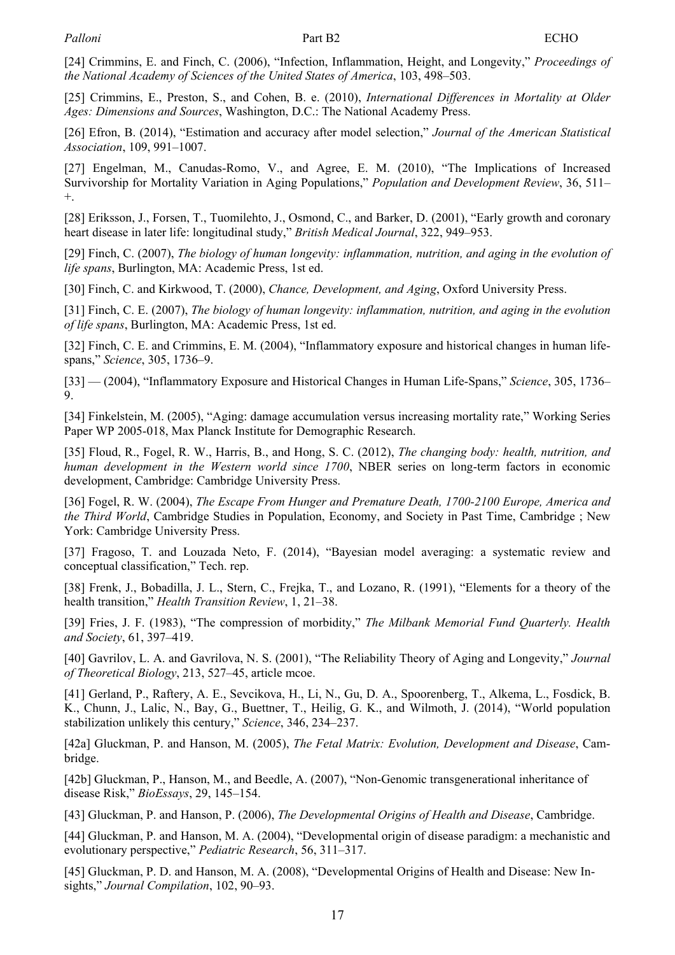<span id="page-15-0"></span>[24] Crimmins, E. and Finch, C. (2006), "Infection, Inflammation, Height, and Longevity," *Proceedings of the National Academy of Sciences of the United States of America*, 103, 498–503.

[25] Crimmins, E., Preston, S., and Cohen, B. e. (2010), *International Differences in Mortality at Older Ages: Dimensions and Sources*, Washington, D.C.: The National Academy Press.

[26] Efron, B. (2014), "Estimation and accuracy after model selection," *Journal of the American Statistical Association*, 109, 991–1007.

[27] Engelman, M., Canudas-Romo, V., and Agree, E. M. (2010), "The Implications of Increased Survivorship for Mortality Variation in Aging Populations," *Population and Development Review*, 36, 511– +.

[28] Eriksson, J., Forsen, T., Tuomilehto, J., Osmond, C., and Barker, D. (2001), "Early growth and coronary heart disease in later life: longitudinal study," *British Medical Journal*, 322, 949–953.

[29] Finch, C. (2007), *The biology of human longevity: inflammation, nutrition, and aging in the evolution of life spans*, Burlington, MA: Academic Press, 1st ed.

[30] Finch, C. and Kirkwood, T. (2000), *Chance, Development, and Aging*, Oxford University Press.

[31] Finch, C. E. (2007), *The biology of human longevity: inflammation, nutrition, and aging in the evolution of life spans*, Burlington, MA: Academic Press, 1st ed.

[32] Finch, C. E. and Crimmins, E. M. (2004), "Inflammatory exposure and historical changes in human lifespans," *Science*, 305, 1736–9.

[33] — (2004), "Inflammatory Exposure and Historical Changes in Human Life-Spans," *Science*, 305, 1736– 9.

[34] Finkelstein, M. (2005), "Aging: damage accumulation versus increasing mortality rate," Working Series Paper WP 2005-018, Max Planck Institute for Demographic Research.

[35] Floud, R., Fogel, R. W., Harris, B., and Hong, S. C. (2012), *The changing body: health, nutrition, and human development in the Western world since 1700*, NBER series on long-term factors in economic development, Cambridge: Cambridge University Press.

[36] Fogel, R. W. (2004), *The Escape From Hunger and Premature Death, 1700-2100 Europe, America and the Third World*, Cambridge Studies in Population, Economy, and Society in Past Time, Cambridge ; New York: Cambridge University Press.

[37] Fragoso, T. and Louzada Neto, F. (2014), "Bayesian model averaging: a systematic review and conceptual classification," Tech. rep.

[38] Frenk, J., Bobadilla, J. L., Stern, C., Frejka, T., and Lozano, R. (1991), "Elements for a theory of the health transition," *Health Transition Review*, 1, 21–38.

[39] Fries, J. F. (1983), "The compression of morbidity," *The Milbank Memorial Fund Quarterly. Health and Society*, 61, 397–419.

[40] Gavrilov, L. A. and Gavrilova, N. S. (2001), "The Reliability Theory of Aging and Longevity," *Journal of Theoretical Biology*, 213, 527–45, article mcoe.

[41] Gerland, P., Raftery, A. E., Sevcikova, H., Li, N., Gu, D. A., Spoorenberg, T., Alkema, L., Fosdick, B. K., Chunn, J., Lalic, N., Bay, G., Buettner, T., Heilig, G. K., and Wilmoth, J. (2014), "World population stabilization unlikely this century," *Science*, 346, 234–237.

[42a] Gluckman, P. and Hanson, M. (2005), *The Fetal Matrix: Evolution, Development and Disease*, Cambridge.

[42b] Gluckman, P., Hanson, M., and Beedle, A. (2007), "Non-Genomic transgenerational inheritance of disease Risk," *BioEssays*, 29, 145–154.

[43] Gluckman, P. and Hanson, P. (2006), *The Developmental Origins of Health and Disease*, Cambridge.

[44] Gluckman, P. and Hanson, M. A. (2004), "Developmental origin of disease paradigm: a mechanistic and evolutionary perspective," *Pediatric Research*, 56, 311–317.

[45] Gluckman, P. D. and Hanson, M. A. (2008), "Developmental Origins of Health and Disease: New Insights," *Journal Compilation*, 102, 90–93.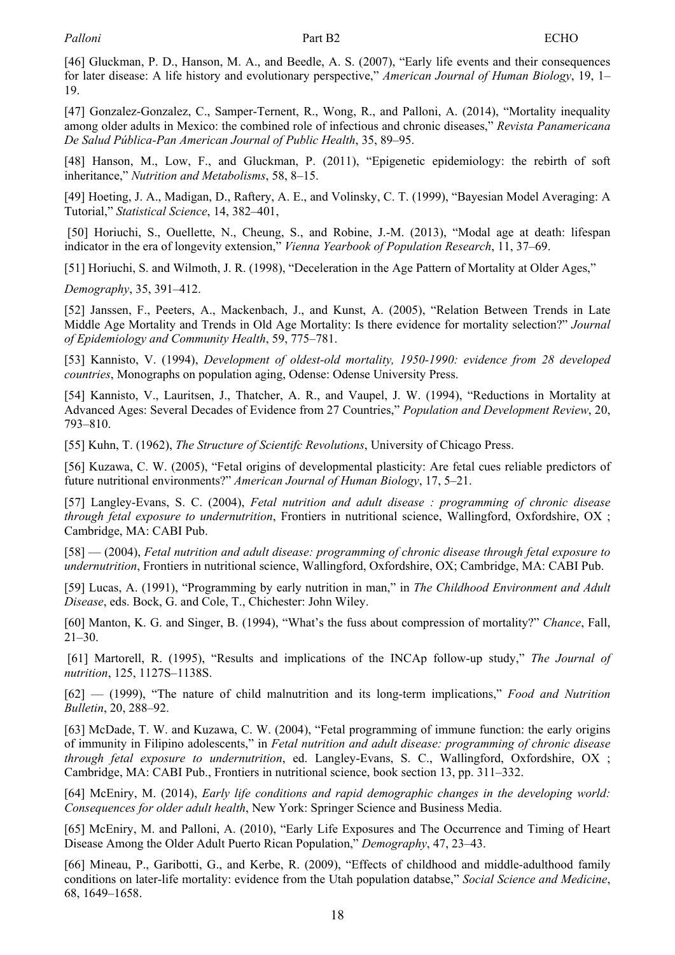<span id="page-16-0"></span>[46] Gluckman, P. D., Hanson, M. A., and Beedle, A. S. (2007), "Early life events and their consequences for later disease: A life history and evolutionary perspective," *American Journal of Human Biology*, 19, 1– 19.

[47] Gonzalez-Gonzalez, C., Samper-Ternent, R., Wong, R., and Palloni, A. (2014), "Mortality inequality among older adults in Mexico: the combined role of infectious and chronic diseases," *Revista Panamericana De Salud Pública-Pan American Journal of Public Health*, 35, 89–95.

[48] Hanson, M., Low, F., and Gluckman, P. (2011), "Epigenetic epidemiology: the rebirth of soft inheritance," *Nutrition and Metabolisms*, 58, 8–15.

[49] Hoeting, J. A., Madigan, D., Raftery, A. E., and Volinsky, C. T. (1999), "Bayesian Model Averaging: A Tutorial," *Statistical Science*, 14, 382–401,

 [50] Horiuchi, S., Ouellette, N., Cheung, S., and Robine, J.-M. (2013), "Modal age at death: lifespan indicator in the era of longevity extension," *Vienna Yearbook of Population Research*, 11, 37–69.

[51] Horiuchi, S. and Wilmoth, J. R. (1998), "Deceleration in the Age Pattern of Mortality at Older Ages,"

*Demography*, 35, 391–412.

[52] Janssen, F., Peeters, A., Mackenbach, J., and Kunst, A. (2005), "Relation Between Trends in Late Middle Age Mortality and Trends in Old Age Mortality: Is there evidence for mortality selection?" *Journal of Epidemiology and Community Health*, 59, 775–781.

[53] Kannisto, V. (1994), *Development of oldest-old mortality, 1950-1990: evidence from 28 developed countries*, Monographs on population aging, Odense: Odense University Press.

[54] Kannisto, V., Lauritsen, J., Thatcher, A. R., and Vaupel, J. W. (1994), "Reductions in Mortality at Advanced Ages: Several Decades of Evidence from 27 Countries," *Population and Development Review*, 20, 793–810.

[55] Kuhn, T. (1962), *The Structure of Scientifc Revolutions*, University of Chicago Press.

[56] Kuzawa, C. W. (2005), "Fetal origins of developmental plasticity: Are fetal cues reliable predictors of future nutritional environments?" *American Journal of Human Biology*, 17, 5–21.

[57] Langley-Evans, S. C. (2004), *Fetal nutrition and adult disease : programming of chronic disease through fetal exposure to undernutrition*, Frontiers in nutritional science, Wallingford, Oxfordshire, OX ; Cambridge, MA: CABI Pub.

[58] — (2004), *Fetal nutrition and adult disease: programming of chronic disease through fetal exposure to undernutrition*, Frontiers in nutritional science, Wallingford, Oxfordshire, OX; Cambridge, MA: CABI Pub.

[59] Lucas, A. (1991), "Programming by early nutrition in man," in *The Childhood Environment and Adult Disease*, eds. Bock, G. and Cole, T., Chichester: John Wiley.

[60] Manton, K. G. and Singer, B. (1994), "What's the fuss about compression of mortality?" *Chance*, Fall, 21–30.

 [61] Martorell, R. (1995), "Results and implications of the INCAp follow-up study," *The Journal of nutrition*, 125, 1127S–1138S.

[62] — (1999), "The nature of child malnutrition and its long-term implications," *Food and Nutrition Bulletin*, 20, 288–92.

[63] McDade, T. W. and Kuzawa, C. W. (2004), "Fetal programming of immune function: the early origins of immunity in Filipino adolescents," in *Fetal nutrition and adult disease: programming of chronic disease through fetal exposure to undernutrition*, ed. Langley-Evans, S. C., Wallingford, Oxfordshire, OX ; Cambridge, MA: CABI Pub., Frontiers in nutritional science, book section 13, pp. 311–332.

[64] McEniry, M. (2014), *Early life conditions and rapid demographic changes in the developing world: Consequences for older adult health*, New York: Springer Science and Business Media.

[65] McEniry, M. and Palloni, A. (2010), "Early Life Exposures and The Occurrence and Timing of Heart Disease Among the Older Adult Puerto Rican Population," *Demography*, 47, 23–43.

[66] Mineau, P., Garibotti, G., and Kerbe, R. (2009), "Effects of childhood and middle-adulthood family conditions on later-life mortality: evidence from the Utah population databse," *Social Science and Medicine*, 68, 1649–1658.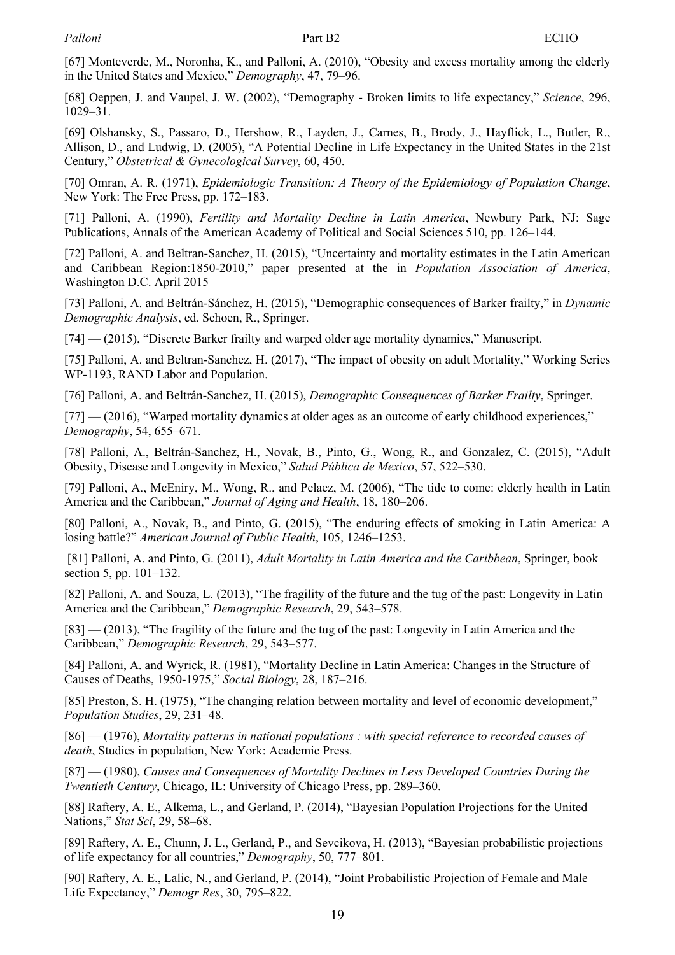<span id="page-17-0"></span>[67] Monteverde, M., Noronha, K., and Palloni, A. (2010), "Obesity and excess mortality among the elderly in the United States and Mexico," *Demography*, 47, 79–96.

[68] Oeppen, J. and Vaupel, J. W. (2002), "Demography - Broken limits to life expectancy," *Science*, 296, 1029–31.

[69] Olshansky, S., Passaro, D., Hershow, R., Layden, J., Carnes, B., Brody, J., Hayflick, L., Butler, R., Allison, D., and Ludwig, D. (2005), "A Potential Decline in Life Expectancy in the United States in the 21st Century," *Obstetrical & Gynecological Survey*, 60, 450.

[70] Omran, A. R. (1971), *Epidemiologic Transition: A Theory of the Epidemiology of Population Change*, New York: The Free Press, pp. 172–183.

[71] Palloni, A. (1990), *Fertility and Mortality Decline in Latin America*, Newbury Park, NJ: Sage Publications, Annals of the American Academy of Political and Social Sciences 510, pp. 126–144.

[72] Palloni, A. and Beltran-Sanchez, H. (2015), "Uncertainty and mortality estimates in the Latin American and Caribbean Region:1850-2010," paper presented at the in *Population Association of America*, Washington D.C. April 2015

[73] Palloni, A. and Beltrán-Sánchez, H. (2015), "Demographic consequences of Barker frailty," in *Dynamic Demographic Analysis*, ed. Schoen, R., Springer.

[74] — (2015), "Discrete Barker frailty and warped older age mortality dynamics," Manuscript.

[75] Palloni, A. and Beltran-Sanchez, H. (2017), "The impact of obesity on adult Mortality," Working Series WP-1193, RAND Labor and Population.

[76] Palloni, A. and Beltrán-Sanchez, H. (2015), *Demographic Consequences of Barker Frailty*, Springer.

 $[77]$  — (2016), "Warped mortality dynamics at older ages as an outcome of early childhood experiences," *Demography*, 54, 655–671.

[78] Palloni, A., Beltrán-Sanchez, H., Novak, B., Pinto, G., Wong, R., and Gonzalez, C. (2015), "Adult Obesity, Disease and Longevity in Mexico," *Salud Pública de Mexico*, 57, 522–530.

[79] Palloni, A., McEniry, M., Wong, R., and Pelaez, M. (2006), "The tide to come: elderly health in Latin America and the Caribbean," *Journal of Aging and Health*, 18, 180–206.

[80] Palloni, A., Novak, B., and Pinto, G. (2015), "The enduring effects of smoking in Latin America: A losing battle?" *American Journal of Public Health*, 105, 1246–1253.

 [81] Palloni, A. and Pinto, G. (2011), *Adult Mortality in Latin America and the Caribbean*, Springer, book section 5, pp. 101–132.

[82] Palloni, A. and Souza, L. (2013), "The fragility of the future and the tug of the past: Longevity in Latin America and the Caribbean," *Demographic Research*, 29, 543–578.

[83] — (2013), "The fragility of the future and the tug of the past: Longevity in Latin America and the Caribbean," *Demographic Research*, 29, 543–577.

[84] Palloni, A. and Wyrick, R. (1981), "Mortality Decline in Latin America: Changes in the Structure of Causes of Deaths, 1950-1975," *Social Biology*, 28, 187–216.

[85] Preston, S. H. (1975), "The changing relation between mortality and level of economic development," *Population Studies*, 29, 231–48.

[86] — (1976), *Mortality patterns in national populations : with special reference to recorded causes of death*, Studies in population, New York: Academic Press.

[87] — (1980), *Causes and Consequences of Mortality Declines in Less Developed Countries During the Twentieth Century*, Chicago, IL: University of Chicago Press, pp. 289–360.

[88] Raftery, A. E., Alkema, L., and Gerland, P. (2014), "Bayesian Population Projections for the United Nations," *Stat Sci*, 29, 58–68.

[89] Raftery, A. E., Chunn, J. L., Gerland, P., and Sevcikova, H. (2013), "Bayesian probabilistic projections of life expectancy for all countries," *Demography*, 50, 777–801.

[90] Raftery, A. E., Lalic, N., and Gerland, P. (2014), "Joint Probabilistic Projection of Female and Male Life Expectancy," *Demogr Res*, 30, 795–822.